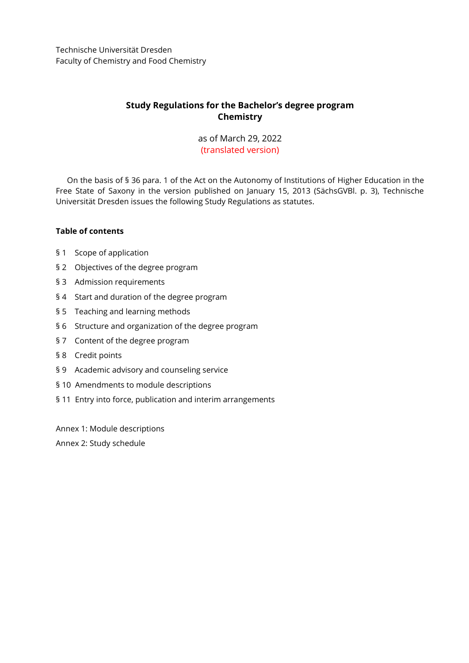Technische Universität Dresden Faculty of Chemistry and Food Chemistry

# **Study Regulations for the Bachelor's degree program Chemistry**

## as of March 29, 2022 (translated version)

On the basis of § 36 para. 1 of the Act on the Autonomy of Institutions of Higher Education in the Free State of Saxony in the version published on January 15, 2013 (SächsGVBl. p. 3), Technische Universität Dresden issues the following Study Regulations as statutes.

## **Table of contents**

- [§ 1 Scope of application](#page-1-0)
- [§ 2 Objectives of the degree program](#page-1-1)
- [§ 3 Admission requirements](#page-1-2)
- [§ 4 Start and duration of](#page-1-3) the degree program
- [§ 5 Teaching and learning methods](#page-1-4)
- [§ 6 Structure and organization of the degree program](#page-2-0)
- [§ 7 Content of the degree program](#page-3-0)
- [§ 8 Credit points](#page-3-1)
- [§ 9 Academic advisory and counseling service](#page-3-2)
- [§ 10 Amendments to module descriptions](#page-4-0)
- [§ 11 Entry into force, publication and interim arrangements](#page-4-1)

[Annex 1: Module descriptions](#page-5-0) [Annex 2: Study schedule](#page-39-0)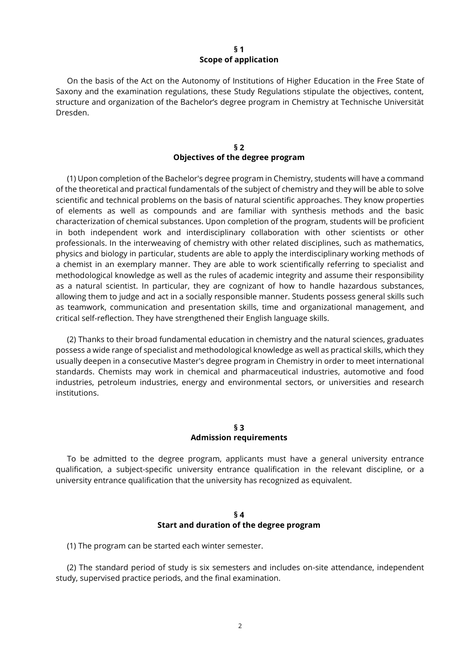### **§ 1 Scope of application**

<span id="page-1-0"></span>On the basis of the Act on the Autonomy of Institutions of Higher Education in the Free State of Saxony and the examination regulations, these Study Regulations stipulate the objectives, content, structure and organization of the Bachelor's degree program in Chemistry at Technische Universität Dresden.

## **§ 2 Objectives of the degree program**

<span id="page-1-1"></span>(1) Upon completion of the Bachelor's degree program in Chemistry, students will have a command of the theoretical and practical fundamentals of the subject of chemistry and they will be able to solve scientific and technical problems on the basis of natural scientific approaches. They know properties of elements as well as compounds and are familiar with synthesis methods and the basic characterization of chemical substances. Upon completion of the program, students will be proficient in both independent work and interdisciplinary collaboration with other scientists or other professionals. In the interweaving of chemistry with other related disciplines, such as mathematics, physics and biology in particular, students are able to apply the interdisciplinary working methods of a chemist in an exemplary manner. They are able to work scientifically referring to specialist and methodological knowledge as well as the rules of academic integrity and assume their responsibility as a natural scientist. In particular, they are cognizant of how to handle hazardous substances, allowing them to judge and act in a socially responsible manner. Students possess general skills such as teamwork, communication and presentation skills, time and organizational management, and critical self-reflection. They have strengthened their English language skills.

(2) Thanks to their broad fundamental education in chemistry and the natural sciences, graduates possess a wide range of specialist and methodological knowledge as well as practical skills, which they usually deepen in a consecutive Master's degree program in Chemistry in order to meet international standards. Chemists may work in chemical and pharmaceutical industries, automotive and food industries, petroleum industries, energy and environmental sectors, or universities and research institutions.

## **§ 3 Admission requirements**

<span id="page-1-2"></span>To be admitted to the degree program, applicants must have a general university entrance qualification, a subject-specific university entrance qualification in the relevant discipline, or a university entrance qualification that the university has recognized as equivalent.

## **§ 4 Start and duration of the degree program**

<span id="page-1-3"></span>(1) The program can be started each winter semester.

<span id="page-1-4"></span>(2) The standard period of study is six semesters and includes on-site attendance, independent study, supervised practice periods, and the final examination.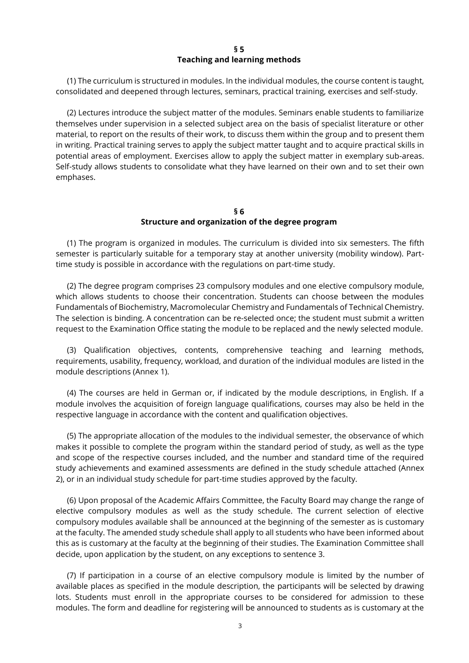### **§ 5 Teaching and learning methods**

(1) The curriculum is structured in modules. In the individual modules, the course content is taught, consolidated and deepened through lectures, seminars, practical training, exercises and self-study.

(2) Lectures introduce the subject matter of the modules. Seminars enable students to familiarize themselves under supervision in a selected subject area on the basis of specialist literature or other material, to report on the results of their work, to discuss them within the group and to present them in writing. Practical training serves to apply the subject matter taught and to acquire practical skills in potential areas of employment. Exercises allow to apply the subject matter in exemplary sub-areas. Self-study allows students to consolidate what they have learned on their own and to set their own emphases.

### **§ 6 Structure and organization of the degree program**

<span id="page-2-0"></span>(1) The program is organized in modules. The curriculum is divided into six semesters. The fifth semester is particularly suitable for a temporary stay at another university (mobility window). Parttime study is possible in accordance with the regulations on part-time study.

(2) The degree program comprises 23 compulsory modules and one elective compulsory module, which allows students to choose their concentration. Students can choose between the modules Fundamentals of Biochemistry, Macromolecular Chemistry and Fundamentals of Technical Chemistry. The selection is binding. A concentration can be re-selected once; the student must submit a written request to the Examination Office stating the module to be replaced and the newly selected module.

(3) Qualification objectives, contents, comprehensive teaching and learning methods, requirements, usability, frequency, workload, and duration of the individual modules are listed in the module descriptions (Annex 1).

(4) The courses are held in German or, if indicated by the module descriptions, in English. If a module involves the acquisition of foreign language qualifications, courses may also be held in the respective language in accordance with the content and qualification objectives.

(5) The appropriate allocation of the modules to the individual semester, the observance of which makes it possible to complete the program within the standard period of study, as well as the type and scope of the respective courses included, and the number and standard time of the required study achievements and examined assessments are defined in the study schedule attached (Annex 2), or in an individual study schedule for part-time studies approved by the faculty.

(6) Upon proposal of the Academic Affairs Committee, the Faculty Board may change the range of elective compulsory modules as well as the study schedule. The current selection of elective compulsory modules available shall be announced at the beginning of the semester as is customary at the faculty. The amended study schedule shall apply to all students who have been informed about this as is customary at the faculty at the beginning of their studies. The Examination Committee shall decide, upon application by the student, on any exceptions to sentence 3.

(7) If participation in a course of an elective compulsory module is limited by the number of available places as specified in the module description, the participants will be selected by drawing lots. Students must enroll in the appropriate courses to be considered for admission to these modules. The form and deadline for registering will be announced to students as is customary at the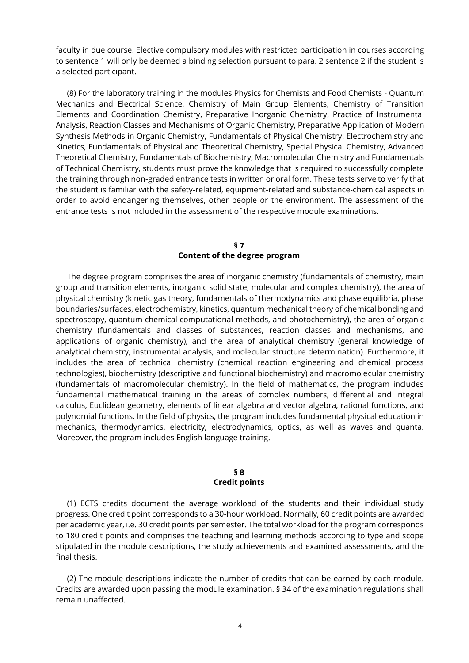faculty in due course. Elective compulsory modules with restricted participation in courses according to sentence 1 will only be deemed a binding selection pursuant to para. 2 sentence 2 if the student is a selected participant.

(8) For the laboratory training in the modules Physics for Chemists and Food Chemists - Quantum Mechanics and Electrical Science, Chemistry of Main Group Elements, Chemistry of Transition Elements and Coordination Chemistry, Preparative Inorganic Chemistry, Practice of Instrumental Analysis, Reaction Classes and Mechanisms of Organic Chemistry, Preparative Application of Modern Synthesis Methods in Organic Chemistry, Fundamentals of Physical Chemistry: Electrochemistry and Kinetics, Fundamentals of Physical and Theoretical Chemistry, Special Physical Chemistry, Advanced Theoretical Chemistry, Fundamentals of Biochemistry, Macromolecular Chemistry and Fundamentals of Technical Chemistry, students must prove the knowledge that is required to successfully complete the training through non-graded entrance tests in written or oral form. These tests serve to verify that the student is familiar with the safety-related, equipment-related and substance-chemical aspects in order to avoid endangering themselves, other people or the environment. The assessment of the entrance tests is not included in the assessment of the respective module examinations.

### **§ 7 Content of the degree program**

<span id="page-3-0"></span>The degree program comprises the area of inorganic chemistry (fundamentals of chemistry, main group and transition elements, inorganic solid state, molecular and complex chemistry), the area of physical chemistry (kinetic gas theory, fundamentals of thermodynamics and phase equilibria, phase boundaries/surfaces, electrochemistry, kinetics, quantum mechanical theory of chemical bonding and spectroscopy, quantum chemical computational methods, and photochemistry), the area of organic chemistry (fundamentals and classes of substances, reaction classes and mechanisms, and applications of organic chemistry), and the area of analytical chemistry (general knowledge of analytical chemistry, instrumental analysis, and molecular structure determination). Furthermore, it includes the area of technical chemistry (chemical reaction engineering and chemical process technologies), biochemistry (descriptive and functional biochemistry) and macromolecular chemistry (fundamentals of macromolecular chemistry). In the field of mathematics, the program includes fundamental mathematical training in the areas of complex numbers, differential and integral calculus, Euclidean geometry, elements of linear algebra and vector algebra, rational functions, and polynomial functions. In the field of physics, the program includes fundamental physical education in mechanics, thermodynamics, electricity, electrodynamics, optics, as well as waves and quanta. Moreover, the program includes English language training.

#### **§ 8 Credit points**

<span id="page-3-1"></span>(1) ECTS credits document the average workload of the students and their individual study progress. One credit point corresponds to a 30-hour workload. Normally, 60 credit points are awarded per academic year, i.e. 30 credit points per semester. The total workload for the program corresponds to 180 credit points and comprises the teaching and learning methods according to type and scope stipulated in the module descriptions, the study achievements and examined assessments, and the final thesis.

<span id="page-3-2"></span>(2) The module descriptions indicate the number of credits that can be earned by each module. Credits are awarded upon passing the module examination. § 34 of the examination regulations shall remain unaffected.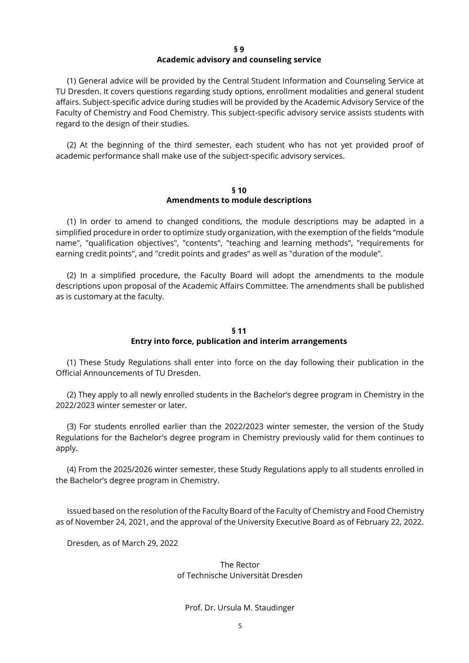#### **§ 9**

#### **Academic advisory and counseling service**

(1) General advice will be provided by the Central Student Information and Counseling Service at TU Dresden. It covers questions regarding study options, enrollment modalities and general student affairs. Subject-specific advice during studies will be provided by the Academic Advisory Service of the Faculty of Chemistry and Food Chemistry. This subject-specific advisory service assists students with regard to the design of their studies.

(2) At the beginning of the third semester, each student who has not yet provided proof of academic performance shall make use of the subject-specific advisory services.

#### **§ 10 Amendments to module descriptions**

<span id="page-4-0"></span>(1) In order to amend to changed conditions, the module descriptions may be adapted in a simplified procedure in order to optimize study organization, with the exemption of the fields "module name", "qualification objectives", "contents", "teaching and learning methods", "requirements for earning credit points", and "credit points and grades" as well as "duration of the module".

(2) In a simplified procedure, the Faculty Board will adopt the amendments to the module descriptions upon proposal of the Academic Affairs Committee. The amendments shall be published as is customary at the faculty.

## **§ 11 Entry into force, publication and interim arrangements**

<span id="page-4-1"></span>(1) These Study Regulations shall enter into force on the day following their publication in the Official Announcements of TU Dresden.

(2) They apply to all newly enrolled students in the Bachelor's degree program in Chemistry in the 2022/2023 winter semester or later.

(3) For students enrolled earlier than the 2022/2023 winter semester, the version of the Study Regulations for the Bachelor's degree program in Chemistry previously valid for them continues to apply.

(4) From the 2025/2026 winter semester, these Study Regulations apply to all students enrolled in the Bachelor's degree program in Chemistry.

Issued based on the resolution of the Faculty Board of the Faculty of Chemistry and Food Chemistry as of November 24, 2021, and the approval of the University Executive Board as of February 22, 2022.

Dresden, as of March 29, 2022

The Rector of Technische Universität Dresden

Prof. Dr. Ursula M. Staudinger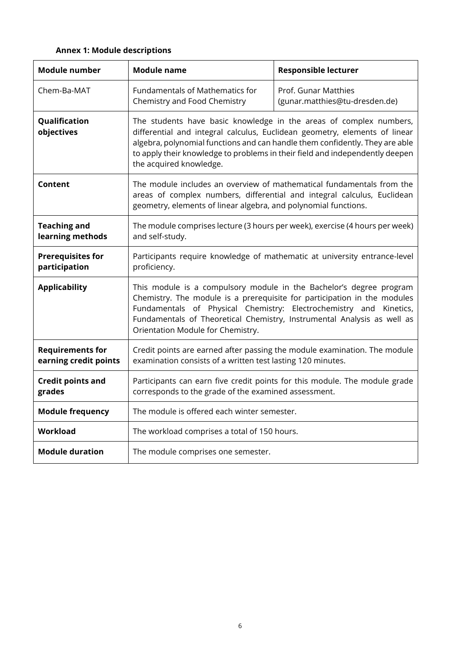# <span id="page-5-0"></span>**Annex 1: Module descriptions**

| <b>Module number</b>                             | <b>Module name</b>                                                                                                                                                                                                                                                                                                                          | <b>Responsible lecturer</b>                            |
|--------------------------------------------------|---------------------------------------------------------------------------------------------------------------------------------------------------------------------------------------------------------------------------------------------------------------------------------------------------------------------------------------------|--------------------------------------------------------|
| Chem-Ba-MAT                                      | Fundamentals of Mathematics for<br>Chemistry and Food Chemistry                                                                                                                                                                                                                                                                             | Prof. Gunar Matthies<br>(gunar.matthies@tu-dresden.de) |
| Qualification<br>objectives                      | The students have basic knowledge in the areas of complex numbers,<br>differential and integral calculus, Euclidean geometry, elements of linear<br>algebra, polynomial functions and can handle them confidently. They are able<br>to apply their knowledge to problems in their field and independently deepen<br>the acquired knowledge. |                                                        |
| Content                                          | The module includes an overview of mathematical fundamentals from the<br>areas of complex numbers, differential and integral calculus, Euclidean<br>geometry, elements of linear algebra, and polynomial functions.                                                                                                                         |                                                        |
| <b>Teaching and</b><br>learning methods          | The module comprises lecture (3 hours per week), exercise (4 hours per week)<br>and self-study.                                                                                                                                                                                                                                             |                                                        |
| <b>Prerequisites for</b><br>participation        | Participants require knowledge of mathematic at university entrance-level<br>proficiency.                                                                                                                                                                                                                                                   |                                                        |
| <b>Applicability</b>                             | This module is a compulsory module in the Bachelor's degree program<br>Chemistry. The module is a prerequisite for participation in the modules<br>Fundamentals of Physical Chemistry: Electrochemistry and Kinetics,<br>Fundamentals of Theoretical Chemistry, Instrumental Analysis as well as<br>Orientation Module for Chemistry.       |                                                        |
| <b>Requirements for</b><br>earning credit points | Credit points are earned after passing the module examination. The module<br>examination consists of a written test lasting 120 minutes.                                                                                                                                                                                                    |                                                        |
| <b>Credit points and</b><br>grades               | Participants can earn five credit points for this module. The module grade<br>corresponds to the grade of the examined assessment.                                                                                                                                                                                                          |                                                        |
| <b>Module frequency</b>                          | The module is offered each winter semester.                                                                                                                                                                                                                                                                                                 |                                                        |
| Workload                                         | The workload comprises a total of 150 hours.                                                                                                                                                                                                                                                                                                |                                                        |
| <b>Module duration</b>                           | The module comprises one semester.                                                                                                                                                                                                                                                                                                          |                                                        |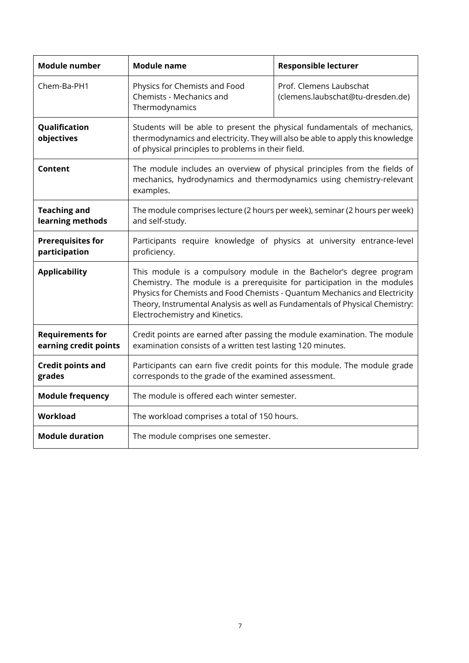| <b>Module number</b>                             | <b>Module name</b>                                                                                                                                                                                                                                                                                                                              | <b>Responsible lecturer</b>                                  |
|--------------------------------------------------|-------------------------------------------------------------------------------------------------------------------------------------------------------------------------------------------------------------------------------------------------------------------------------------------------------------------------------------------------|--------------------------------------------------------------|
| Chem-Ba-PH1                                      | Physics for Chemists and Food<br>Chemists - Mechanics and<br>Thermodynamics                                                                                                                                                                                                                                                                     | Prof. Clemens Laubschat<br>(clemens.laubschat@tu-dresden.de) |
| Qualification<br>objectives                      | Students will be able to present the physical fundamentals of mechanics,<br>thermodynamics and electricity. They will also be able to apply this knowledge<br>of physical principles to problems in their field.                                                                                                                                |                                                              |
| Content                                          | The module includes an overview of physical principles from the fields of<br>mechanics, hydrodynamics and thermodynamics using chemistry-relevant<br>examples.                                                                                                                                                                                  |                                                              |
| <b>Teaching and</b><br>learning methods          | The module comprises lecture (2 hours per week), seminar (2 hours per week)<br>and self-study.                                                                                                                                                                                                                                                  |                                                              |
| <b>Prerequisites for</b><br>participation        | Participants require knowledge of physics at university entrance-level<br>proficiency.                                                                                                                                                                                                                                                          |                                                              |
| <b>Applicability</b>                             | This module is a compulsory module in the Bachelor's degree program<br>Chemistry. The module is a prerequisite for participation in the modules<br>Physics for Chemists and Food Chemists - Quantum Mechanics and Electricity<br>Theory, Instrumental Analysis as well as Fundamentals of Physical Chemistry:<br>Electrochemistry and Kinetics. |                                                              |
| <b>Requirements for</b><br>earning credit points | Credit points are earned after passing the module examination. The module<br>examination consists of a written test lasting 120 minutes.                                                                                                                                                                                                        |                                                              |
| <b>Credit points and</b><br>grades               | Participants can earn five credit points for this module. The module grade<br>corresponds to the grade of the examined assessment.                                                                                                                                                                                                              |                                                              |
| <b>Module frequency</b>                          | The module is offered each winter semester.                                                                                                                                                                                                                                                                                                     |                                                              |
| Workload                                         | The workload comprises a total of 150 hours.                                                                                                                                                                                                                                                                                                    |                                                              |
| <b>Module duration</b>                           | The module comprises one semester.                                                                                                                                                                                                                                                                                                              |                                                              |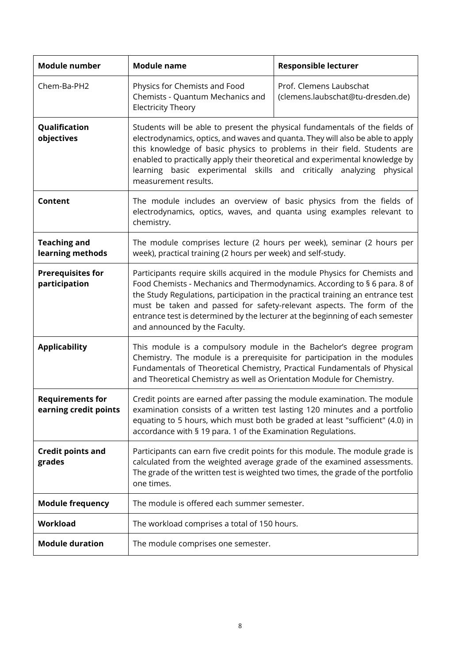| Module number                                    | <b>Module name</b>                                                                                                                                                                                                                                                                                                                                                                                                                     | <b>Responsible lecturer</b>                                  |
|--------------------------------------------------|----------------------------------------------------------------------------------------------------------------------------------------------------------------------------------------------------------------------------------------------------------------------------------------------------------------------------------------------------------------------------------------------------------------------------------------|--------------------------------------------------------------|
| Chem-Ba-PH2                                      | Physics for Chemists and Food<br>Chemists - Quantum Mechanics and<br><b>Electricity Theory</b>                                                                                                                                                                                                                                                                                                                                         | Prof. Clemens Laubschat<br>(clemens.laubschat@tu-dresden.de) |
| Qualification<br>objectives                      | Students will be able to present the physical fundamentals of the fields of<br>electrodynamics, optics, and waves and quanta. They will also be able to apply<br>this knowledge of basic physics to problems in their field. Students are<br>enabled to practically apply their theoretical and experimental knowledge by<br>basic experimental skills and critically analyzing<br>learning<br>physical<br>measurement results.        |                                                              |
| <b>Content</b>                                   | The module includes an overview of basic physics from the fields of<br>electrodynamics, optics, waves, and quanta using examples relevant to<br>chemistry.                                                                                                                                                                                                                                                                             |                                                              |
| <b>Teaching and</b><br>learning methods          | The module comprises lecture (2 hours per week), seminar (2 hours per<br>week), practical training (2 hours per week) and self-study.                                                                                                                                                                                                                                                                                                  |                                                              |
| <b>Prerequisites for</b><br>participation        | Participants require skills acquired in the module Physics for Chemists and<br>Food Chemists - Mechanics and Thermodynamics. According to § 6 para. 8 of<br>the Study Regulations, participation in the practical training an entrance test<br>must be taken and passed for safety-relevant aspects. The form of the<br>entrance test is determined by the lecturer at the beginning of each semester<br>and announced by the Faculty. |                                                              |
| <b>Applicability</b>                             | This module is a compulsory module in the Bachelor's degree program<br>Chemistry. The module is a prerequisite for participation in the modules<br>Fundamentals of Theoretical Chemistry, Practical Fundamentals of Physical<br>and Theoretical Chemistry as well as Orientation Module for Chemistry.                                                                                                                                 |                                                              |
| <b>Requirements for</b><br>earning credit points | Credit points are earned after passing the module examination. The module<br>examination consists of a written test lasting 120 minutes and a portfolio<br>equating to 5 hours, which must both be graded at least "sufficient" (4.0) in<br>accordance with § 19 para. 1 of the Examination Regulations.                                                                                                                               |                                                              |
| <b>Credit points and</b><br>grades               | Participants can earn five credit points for this module. The module grade is<br>calculated from the weighted average grade of the examined assessments.<br>The grade of the written test is weighted two times, the grade of the portfolio<br>one times.                                                                                                                                                                              |                                                              |
| <b>Module frequency</b>                          | The module is offered each summer semester.                                                                                                                                                                                                                                                                                                                                                                                            |                                                              |
| <b>Workload</b>                                  | The workload comprises a total of 150 hours.                                                                                                                                                                                                                                                                                                                                                                                           |                                                              |
| <b>Module duration</b>                           | The module comprises one semester.                                                                                                                                                                                                                                                                                                                                                                                                     |                                                              |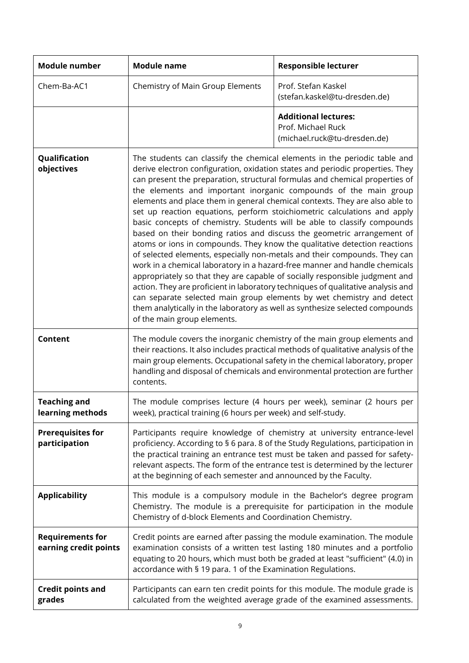| <b>Module number</b>                             | <b>Module name</b>                                                                                                                                                                                                                                                                                                                                                                                                                                                                                                                                                                                                                                                                                                                                                                                                                                                                                                                                                                                                                                                                                                                                                                                                                | <b>Responsible lecturer</b>                                                                                                                                                                                                                                                                                                   |
|--------------------------------------------------|-----------------------------------------------------------------------------------------------------------------------------------------------------------------------------------------------------------------------------------------------------------------------------------------------------------------------------------------------------------------------------------------------------------------------------------------------------------------------------------------------------------------------------------------------------------------------------------------------------------------------------------------------------------------------------------------------------------------------------------------------------------------------------------------------------------------------------------------------------------------------------------------------------------------------------------------------------------------------------------------------------------------------------------------------------------------------------------------------------------------------------------------------------------------------------------------------------------------------------------|-------------------------------------------------------------------------------------------------------------------------------------------------------------------------------------------------------------------------------------------------------------------------------------------------------------------------------|
| Chem-Ba-AC1                                      | Chemistry of Main Group Elements                                                                                                                                                                                                                                                                                                                                                                                                                                                                                                                                                                                                                                                                                                                                                                                                                                                                                                                                                                                                                                                                                                                                                                                                  | Prof. Stefan Kaskel<br>(stefan.kaskel@tu-dresden.de)                                                                                                                                                                                                                                                                          |
|                                                  |                                                                                                                                                                                                                                                                                                                                                                                                                                                                                                                                                                                                                                                                                                                                                                                                                                                                                                                                                                                                                                                                                                                                                                                                                                   | <b>Additional lectures:</b><br>Prof. Michael Ruck<br>(michael.ruck@tu-dresden.de)                                                                                                                                                                                                                                             |
| Qualification<br>objectives                      | The students can classify the chemical elements in the periodic table and<br>derive electron configuration, oxidation states and periodic properties. They<br>can present the preparation, structural formulas and chemical properties of<br>the elements and important inorganic compounds of the main group<br>elements and place them in general chemical contexts. They are also able to<br>set up reaction equations, perform stoichiometric calculations and apply<br>basic concepts of chemistry. Students will be able to classify compounds<br>based on their bonding ratios and discuss the geometric arrangement of<br>atoms or ions in compounds. They know the qualitative detection reactions<br>of selected elements, especially non-metals and their compounds. They can<br>work in a chemical laboratory in a hazard-free manner and handle chemicals<br>appropriately so that they are capable of socially responsible judgment and<br>action. They are proficient in laboratory techniques of qualitative analysis and<br>can separate selected main group elements by wet chemistry and detect<br>them analytically in the laboratory as well as synthesize selected compounds<br>of the main group elements. |                                                                                                                                                                                                                                                                                                                               |
| <b>Content</b>                                   | The module covers the inorganic chemistry of the main group elements and<br>their reactions. It also includes practical methods of qualitative analysis of the<br>main group elements. Occupational safety in the chemical laboratory, proper<br>handling and disposal of chemicals and environmental protection are further<br>contents.                                                                                                                                                                                                                                                                                                                                                                                                                                                                                                                                                                                                                                                                                                                                                                                                                                                                                         |                                                                                                                                                                                                                                                                                                                               |
| <b>Teaching and</b><br>learning methods          | week), practical training (6 hours per week) and self-study.                                                                                                                                                                                                                                                                                                                                                                                                                                                                                                                                                                                                                                                                                                                                                                                                                                                                                                                                                                                                                                                                                                                                                                      | The module comprises lecture (4 hours per week), seminar (2 hours per                                                                                                                                                                                                                                                         |
| <b>Prerequisites for</b><br>participation        | at the beginning of each semester and announced by the Faculty.                                                                                                                                                                                                                                                                                                                                                                                                                                                                                                                                                                                                                                                                                                                                                                                                                                                                                                                                                                                                                                                                                                                                                                   | Participants require knowledge of chemistry at university entrance-level<br>proficiency. According to § 6 para. 8 of the Study Regulations, participation in<br>the practical training an entrance test must be taken and passed for safety-<br>relevant aspects. The form of the entrance test is determined by the lecturer |
| <b>Applicability</b>                             | Chemistry of d-block Elements and Coordination Chemistry.                                                                                                                                                                                                                                                                                                                                                                                                                                                                                                                                                                                                                                                                                                                                                                                                                                                                                                                                                                                                                                                                                                                                                                         | This module is a compulsory module in the Bachelor's degree program<br>Chemistry. The module is a prerequisite for participation in the module                                                                                                                                                                                |
| <b>Requirements for</b><br>earning credit points | Credit points are earned after passing the module examination. The module<br>accordance with § 19 para. 1 of the Examination Regulations.                                                                                                                                                                                                                                                                                                                                                                                                                                                                                                                                                                                                                                                                                                                                                                                                                                                                                                                                                                                                                                                                                         | examination consists of a written test lasting 180 minutes and a portfolio<br>equating to 20 hours, which must both be graded at least "sufficient" (4.0) in                                                                                                                                                                  |
| <b>Credit points and</b><br>grades               |                                                                                                                                                                                                                                                                                                                                                                                                                                                                                                                                                                                                                                                                                                                                                                                                                                                                                                                                                                                                                                                                                                                                                                                                                                   | Participants can earn ten credit points for this module. The module grade is<br>calculated from the weighted average grade of the examined assessments.                                                                                                                                                                       |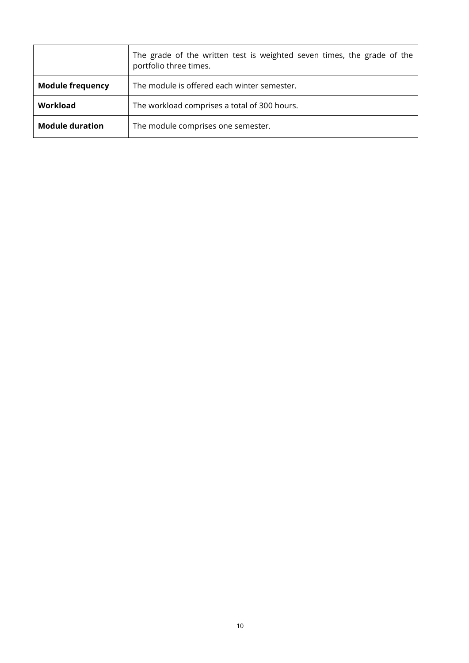|                         | The grade of the written test is weighted seven times, the grade of the<br>portfolio three times. |
|-------------------------|---------------------------------------------------------------------------------------------------|
| <b>Module frequency</b> | The module is offered each winter semester.                                                       |
| Workload                | The workload comprises a total of 300 hours.                                                      |
| <b>Module duration</b>  | The module comprises one semester.                                                                |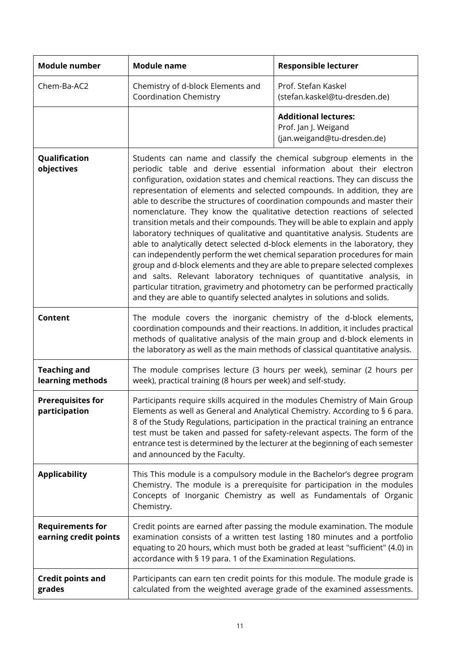| <b>Module number</b>                             | <b>Module name</b>                                                                                                                                                                                                                                                                                                                                                                                                                                                                                                                                                                                                                                                                                                                                                                                                                                                                                                                                                                                                                                                                                                   | <b>Responsible lecturer</b>                                                                                                                                                                                                               |
|--------------------------------------------------|----------------------------------------------------------------------------------------------------------------------------------------------------------------------------------------------------------------------------------------------------------------------------------------------------------------------------------------------------------------------------------------------------------------------------------------------------------------------------------------------------------------------------------------------------------------------------------------------------------------------------------------------------------------------------------------------------------------------------------------------------------------------------------------------------------------------------------------------------------------------------------------------------------------------------------------------------------------------------------------------------------------------------------------------------------------------------------------------------------------------|-------------------------------------------------------------------------------------------------------------------------------------------------------------------------------------------------------------------------------------------|
| Chem-Ba-AC2                                      | Chemistry of d-block Elements and<br><b>Coordination Chemistry</b>                                                                                                                                                                                                                                                                                                                                                                                                                                                                                                                                                                                                                                                                                                                                                                                                                                                                                                                                                                                                                                                   | Prof. Stefan Kaskel<br>(stefan.kaskel@tu-dresden.de)                                                                                                                                                                                      |
|                                                  |                                                                                                                                                                                                                                                                                                                                                                                                                                                                                                                                                                                                                                                                                                                                                                                                                                                                                                                                                                                                                                                                                                                      | <b>Additional lectures:</b><br>Prof. Jan J. Weigand<br>(jan.weigand@tu-dresden.de)                                                                                                                                                        |
| Qualification<br>objectives                      | Students can name and classify the chemical subgroup elements in the<br>periodic table and derive essential information about their electron<br>configuration, oxidation states and chemical reactions. They can discuss the<br>representation of elements and selected compounds. In addition, they are<br>able to describe the structures of coordination compounds and master their<br>nomenclature. They know the qualitative detection reactions of selected<br>transition metals and their compounds. They will be able to explain and apply<br>laboratory techniques of qualitative and quantitative analysis. Students are<br>able to analytically detect selected d-block elements in the laboratory, they<br>can independently perform the wet chemical separation procedures for main<br>group and d-block elements and they are able to prepare selected complexes<br>and salts. Relevant laboratory techniques of quantitative analysis, in<br>particular titration, gravimetry and photometry can be performed practically<br>and they are able to quantify selected analytes in solutions and solids. |                                                                                                                                                                                                                                           |
| <b>Content</b>                                   | The module covers the inorganic chemistry of the d-block elements,<br>coordination compounds and their reactions. In addition, it includes practical<br>methods of qualitative analysis of the main group and d-block elements in<br>the laboratory as well as the main methods of classical quantitative analysis.                                                                                                                                                                                                                                                                                                                                                                                                                                                                                                                                                                                                                                                                                                                                                                                                  |                                                                                                                                                                                                                                           |
| <b>Teaching and</b><br>learning methods          | The module comprises lecture (3 hours per week), seminar (2 hours per<br>week), practical training (8 hours per week) and self-study.                                                                                                                                                                                                                                                                                                                                                                                                                                                                                                                                                                                                                                                                                                                                                                                                                                                                                                                                                                                |                                                                                                                                                                                                                                           |
| <b>Prerequisites for</b><br>participation        | Participants require skills acquired in the modules Chemistry of Main Group<br>Elements as well as General and Analytical Chemistry. According to § 6 para.<br>8 of the Study Regulations, participation in the practical training an entrance<br>test must be taken and passed for safety-relevant aspects. The form of the<br>entrance test is determined by the lecturer at the beginning of each semester<br>and announced by the Faculty.                                                                                                                                                                                                                                                                                                                                                                                                                                                                                                                                                                                                                                                                       |                                                                                                                                                                                                                                           |
| <b>Applicability</b>                             | Chemistry.                                                                                                                                                                                                                                                                                                                                                                                                                                                                                                                                                                                                                                                                                                                                                                                                                                                                                                                                                                                                                                                                                                           | This This module is a compulsory module in the Bachelor's degree program<br>Chemistry. The module is a prerequisite for participation in the modules<br>Concepts of Inorganic Chemistry as well as Fundamentals of Organic                |
| <b>Requirements for</b><br>earning credit points | accordance with § 19 para. 1 of the Examination Regulations.                                                                                                                                                                                                                                                                                                                                                                                                                                                                                                                                                                                                                                                                                                                                                                                                                                                                                                                                                                                                                                                         | Credit points are earned after passing the module examination. The module<br>examination consists of a written test lasting 180 minutes and a portfolio<br>equating to 20 hours, which must both be graded at least "sufficient" (4.0) in |
| <b>Credit points and</b><br>grades               | Participants can earn ten credit points for this module. The module grade is<br>calculated from the weighted average grade of the examined assessments.                                                                                                                                                                                                                                                                                                                                                                                                                                                                                                                                                                                                                                                                                                                                                                                                                                                                                                                                                              |                                                                                                                                                                                                                                           |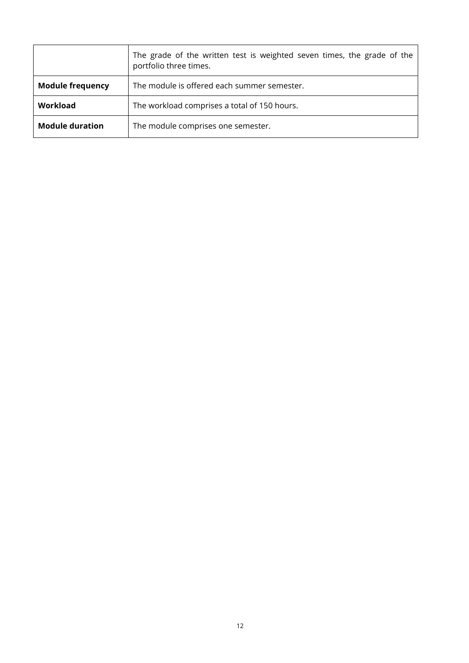|                         | The grade of the written test is weighted seven times, the grade of the<br>portfolio three times. |
|-------------------------|---------------------------------------------------------------------------------------------------|
| <b>Module frequency</b> | The module is offered each summer semester.                                                       |
| Workload                | The workload comprises a total of 150 hours.                                                      |
| <b>Module duration</b>  | The module comprises one semester.                                                                |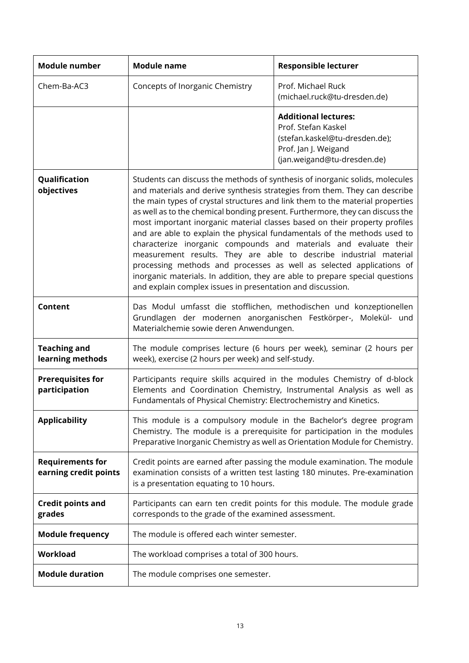| <b>Module number</b>                             | <b>Module name</b>                                                                                                                                                                                                                                                                                                                                                                                                                                                                                                                                                                                                                                                                                                                                                                                                                                      | <b>Responsible lecturer</b>                                                                                                                                                                                                     |
|--------------------------------------------------|---------------------------------------------------------------------------------------------------------------------------------------------------------------------------------------------------------------------------------------------------------------------------------------------------------------------------------------------------------------------------------------------------------------------------------------------------------------------------------------------------------------------------------------------------------------------------------------------------------------------------------------------------------------------------------------------------------------------------------------------------------------------------------------------------------------------------------------------------------|---------------------------------------------------------------------------------------------------------------------------------------------------------------------------------------------------------------------------------|
| Chem-Ba-AC3                                      | Concepts of Inorganic Chemistry                                                                                                                                                                                                                                                                                                                                                                                                                                                                                                                                                                                                                                                                                                                                                                                                                         | Prof. Michael Ruck<br>(michael.ruck@tu-dresden.de)                                                                                                                                                                              |
|                                                  |                                                                                                                                                                                                                                                                                                                                                                                                                                                                                                                                                                                                                                                                                                                                                                                                                                                         | <b>Additional lectures:</b><br>Prof. Stefan Kaskel<br>(stefan.kaskel@tu-dresden.de);<br>Prof. Jan J. Weigand<br>(jan.weigand@tu-dresden.de)                                                                                     |
| Qualification<br>objectives                      | Students can discuss the methods of synthesis of inorganic solids, molecules<br>and materials and derive synthesis strategies from them. They can describe<br>the main types of crystal structures and link them to the material properties<br>as well as to the chemical bonding present. Furthermore, they can discuss the<br>most important inorganic material classes based on their property profiles<br>and are able to explain the physical fundamentals of the methods used to<br>characterize inorganic compounds and materials and evaluate their<br>measurement results. They are able to describe industrial material<br>processing methods and processes as well as selected applications of<br>inorganic materials. In addition, they are able to prepare special questions<br>and explain complex issues in presentation and discussion. |                                                                                                                                                                                                                                 |
| <b>Content</b>                                   | Das Modul umfasst die stofflichen, methodischen und konzeptionellen<br>Grundlagen der modernen anorganischen Festkörper-, Molekül- und<br>Materialchemie sowie deren Anwendungen.                                                                                                                                                                                                                                                                                                                                                                                                                                                                                                                                                                                                                                                                       |                                                                                                                                                                                                                                 |
| <b>Teaching and</b><br>learning methods          | The module comprises lecture (6 hours per week), seminar (2 hours per<br>week), exercise (2 hours per week) and self-study.                                                                                                                                                                                                                                                                                                                                                                                                                                                                                                                                                                                                                                                                                                                             |                                                                                                                                                                                                                                 |
| <b>Prerequisites for</b><br>participation        | Participants require skills acquired in the modules Chemistry of d-block<br>Elements and Coordination Chemistry, Instrumental Analysis as well as<br>Fundamentals of Physical Chemistry: Electrochemistry and Kinetics.                                                                                                                                                                                                                                                                                                                                                                                                                                                                                                                                                                                                                                 |                                                                                                                                                                                                                                 |
| <b>Applicability</b>                             |                                                                                                                                                                                                                                                                                                                                                                                                                                                                                                                                                                                                                                                                                                                                                                                                                                                         | This module is a compulsory module in the Bachelor's degree program<br>Chemistry. The module is a prerequisite for participation in the modules<br>Preparative Inorganic Chemistry as well as Orientation Module for Chemistry. |
| <b>Requirements for</b><br>earning credit points | is a presentation equating to 10 hours.                                                                                                                                                                                                                                                                                                                                                                                                                                                                                                                                                                                                                                                                                                                                                                                                                 | Credit points are earned after passing the module examination. The module<br>examination consists of a written test lasting 180 minutes. Pre-examination                                                                        |
| <b>Credit points and</b><br>grades               | corresponds to the grade of the examined assessment.                                                                                                                                                                                                                                                                                                                                                                                                                                                                                                                                                                                                                                                                                                                                                                                                    | Participants can earn ten credit points for this module. The module grade                                                                                                                                                       |
| <b>Module frequency</b>                          | The module is offered each winter semester.                                                                                                                                                                                                                                                                                                                                                                                                                                                                                                                                                                                                                                                                                                                                                                                                             |                                                                                                                                                                                                                                 |
| <b>Workload</b>                                  | The workload comprises a total of 300 hours.                                                                                                                                                                                                                                                                                                                                                                                                                                                                                                                                                                                                                                                                                                                                                                                                            |                                                                                                                                                                                                                                 |
| <b>Module duration</b>                           | The module comprises one semester.                                                                                                                                                                                                                                                                                                                                                                                                                                                                                                                                                                                                                                                                                                                                                                                                                      |                                                                                                                                                                                                                                 |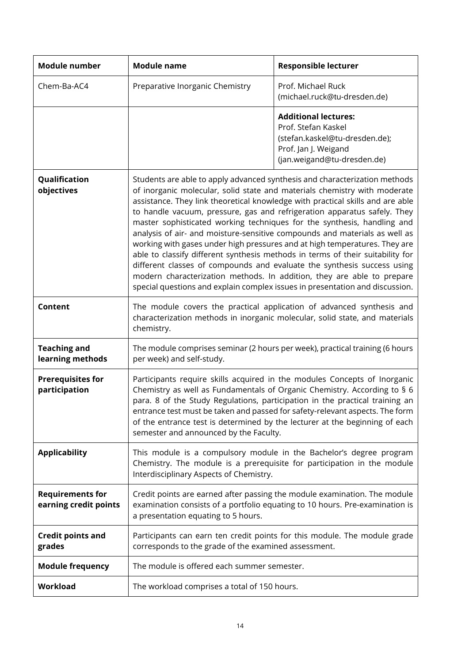| Module number                                    | <b>Module name</b>                                                                                                                                                                                                                                                                                                                                                                                                                                                                                                                                                                                                                                                                                                                                                                                                                                                                  | <b>Responsible lecturer</b>                                                                                                                 |
|--------------------------------------------------|-------------------------------------------------------------------------------------------------------------------------------------------------------------------------------------------------------------------------------------------------------------------------------------------------------------------------------------------------------------------------------------------------------------------------------------------------------------------------------------------------------------------------------------------------------------------------------------------------------------------------------------------------------------------------------------------------------------------------------------------------------------------------------------------------------------------------------------------------------------------------------------|---------------------------------------------------------------------------------------------------------------------------------------------|
| Chem-Ba-AC4                                      | Preparative Inorganic Chemistry                                                                                                                                                                                                                                                                                                                                                                                                                                                                                                                                                                                                                                                                                                                                                                                                                                                     | Prof. Michael Ruck<br>(michael.ruck@tu-dresden.de)                                                                                          |
|                                                  |                                                                                                                                                                                                                                                                                                                                                                                                                                                                                                                                                                                                                                                                                                                                                                                                                                                                                     | <b>Additional lectures:</b><br>Prof. Stefan Kaskel<br>(stefan.kaskel@tu-dresden.de);<br>Prof. Jan J. Weigand<br>(jan.weigand@tu-dresden.de) |
| Qualification<br>objectives                      | Students are able to apply advanced synthesis and characterization methods<br>of inorganic molecular, solid state and materials chemistry with moderate<br>assistance. They link theoretical knowledge with practical skills and are able<br>to handle vacuum, pressure, gas and refrigeration apparatus safely. They<br>master sophisticated working techniques for the synthesis, handling and<br>analysis of air- and moisture-sensitive compounds and materials as well as<br>working with gases under high pressures and at high temperatures. They are<br>able to classify different synthesis methods in terms of their suitability for<br>different classes of compounds and evaluate the synthesis success using<br>modern characterization methods. In addition, they are able to prepare<br>special questions and explain complex issues in presentation and discussion. |                                                                                                                                             |
| Content                                          | The module covers the practical application of advanced synthesis and<br>characterization methods in inorganic molecular, solid state, and materials<br>chemistry.                                                                                                                                                                                                                                                                                                                                                                                                                                                                                                                                                                                                                                                                                                                  |                                                                                                                                             |
| <b>Teaching and</b><br>learning methods          | The module comprises seminar (2 hours per week), practical training (6 hours<br>per week) and self-study.                                                                                                                                                                                                                                                                                                                                                                                                                                                                                                                                                                                                                                                                                                                                                                           |                                                                                                                                             |
| <b>Prerequisites for</b><br>participation        | Participants require skills acquired in the modules Concepts of Inorganic<br>Chemistry as well as Fundamentals of Organic Chemistry. According to § 6<br>para. 8 of the Study Regulations, participation in the practical training an<br>entrance test must be taken and passed for safety-relevant aspects. The form<br>of the entrance test is determined by the lecturer at the beginning of each<br>semester and announced by the Faculty.                                                                                                                                                                                                                                                                                                                                                                                                                                      |                                                                                                                                             |
| <b>Applicability</b>                             | This module is a compulsory module in the Bachelor's degree program<br>Chemistry. The module is a prerequisite for participation in the module<br>Interdisciplinary Aspects of Chemistry.                                                                                                                                                                                                                                                                                                                                                                                                                                                                                                                                                                                                                                                                                           |                                                                                                                                             |
| <b>Requirements for</b><br>earning credit points | Credit points are earned after passing the module examination. The module<br>examination consists of a portfolio equating to 10 hours. Pre-examination is<br>a presentation equating to 5 hours.                                                                                                                                                                                                                                                                                                                                                                                                                                                                                                                                                                                                                                                                                    |                                                                                                                                             |
| <b>Credit points and</b><br>grades               | Participants can earn ten credit points for this module. The module grade<br>corresponds to the grade of the examined assessment.                                                                                                                                                                                                                                                                                                                                                                                                                                                                                                                                                                                                                                                                                                                                                   |                                                                                                                                             |
| <b>Module frequency</b>                          | The module is offered each summer semester.                                                                                                                                                                                                                                                                                                                                                                                                                                                                                                                                                                                                                                                                                                                                                                                                                                         |                                                                                                                                             |
| Workload                                         | The workload comprises a total of 150 hours.                                                                                                                                                                                                                                                                                                                                                                                                                                                                                                                                                                                                                                                                                                                                                                                                                                        |                                                                                                                                             |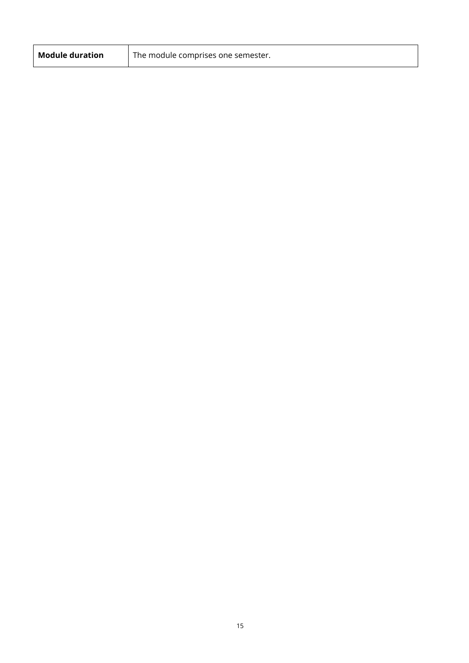| <b>Module duration</b> | I The module comprises one semester. |
|------------------------|--------------------------------------|
|                        |                                      |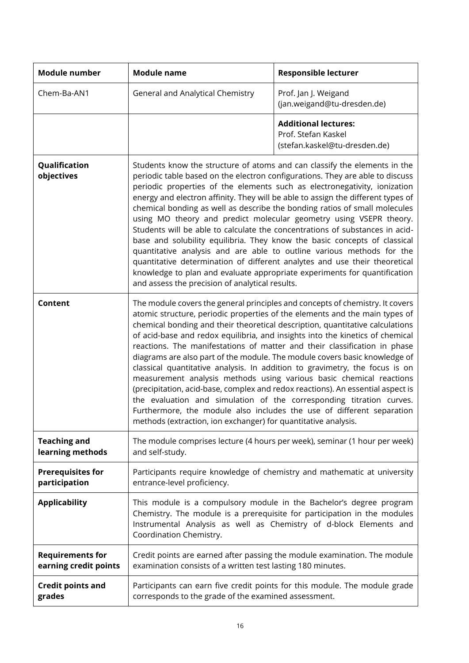| <b>Module number</b>                             | <b>Module name</b>                                                                                                                                                                                                                                                                                                                                                                                                                                                                                                                                                                                                                                                                                                                                                                                                                                                                                                                                    | <b>Responsible lecturer</b>                                                                                                                                                                                           |
|--------------------------------------------------|-------------------------------------------------------------------------------------------------------------------------------------------------------------------------------------------------------------------------------------------------------------------------------------------------------------------------------------------------------------------------------------------------------------------------------------------------------------------------------------------------------------------------------------------------------------------------------------------------------------------------------------------------------------------------------------------------------------------------------------------------------------------------------------------------------------------------------------------------------------------------------------------------------------------------------------------------------|-----------------------------------------------------------------------------------------------------------------------------------------------------------------------------------------------------------------------|
| Chem-Ba-AN1                                      | General and Analytical Chemistry                                                                                                                                                                                                                                                                                                                                                                                                                                                                                                                                                                                                                                                                                                                                                                                                                                                                                                                      | Prof. Jan J. Weigand<br>(jan.weigand@tu-dresden.de)                                                                                                                                                                   |
|                                                  |                                                                                                                                                                                                                                                                                                                                                                                                                                                                                                                                                                                                                                                                                                                                                                                                                                                                                                                                                       | <b>Additional lectures:</b><br>Prof. Stefan Kaskel<br>(stefan.kaskel@tu-dresden.de)                                                                                                                                   |
| Qualification<br>objectives                      | Students know the structure of atoms and can classify the elements in the<br>periodic table based on the electron configurations. They are able to discuss<br>periodic properties of the elements such as electronegativity, ionization<br>energy and electron affinity. They will be able to assign the different types of<br>chemical bonding as well as describe the bonding ratios of small molecules<br>using MO theory and predict molecular geometry using VSEPR theory.<br>Students will be able to calculate the concentrations of substances in acid-<br>base and solubility equilibria. They know the basic concepts of classical<br>quantitative analysis and are able to outline various methods for the<br>quantitative determination of different analytes and use their theoretical<br>knowledge to plan and evaluate appropriate experiments for quantification<br>and assess the precision of analytical results.                   |                                                                                                                                                                                                                       |
| Content                                          | The module covers the general principles and concepts of chemistry. It covers<br>atomic structure, periodic properties of the elements and the main types of<br>chemical bonding and their theoretical description, quantitative calculations<br>of acid-base and redox equilibria, and insights into the kinetics of chemical<br>reactions. The manifestations of matter and their classification in phase<br>diagrams are also part of the module. The module covers basic knowledge of<br>classical quantitative analysis. In addition to gravimetry, the focus is on<br>measurement analysis methods using various basic chemical reactions<br>(precipitation, acid-base, complex and redox reactions). An essential aspect is<br>the evaluation and simulation of the corresponding titration curves.<br>Furthermore, the module also includes the use of different separation<br>methods (extraction, ion exchanger) for quantitative analysis. |                                                                                                                                                                                                                       |
| <b>Teaching and</b><br>learning methods          | and self-study.                                                                                                                                                                                                                                                                                                                                                                                                                                                                                                                                                                                                                                                                                                                                                                                                                                                                                                                                       | The module comprises lecture (4 hours per week), seminar (1 hour per week)                                                                                                                                            |
| <b>Prerequisites for</b><br>participation        | entrance-level proficiency.                                                                                                                                                                                                                                                                                                                                                                                                                                                                                                                                                                                                                                                                                                                                                                                                                                                                                                                           | Participants require knowledge of chemistry and mathematic at university                                                                                                                                              |
| <b>Applicability</b>                             | Coordination Chemistry.                                                                                                                                                                                                                                                                                                                                                                                                                                                                                                                                                                                                                                                                                                                                                                                                                                                                                                                               | This module is a compulsory module in the Bachelor's degree program<br>Chemistry. The module is a prerequisite for participation in the modules<br>Instrumental Analysis as well as Chemistry of d-block Elements and |
| <b>Requirements for</b><br>earning credit points | examination consists of a written test lasting 180 minutes.                                                                                                                                                                                                                                                                                                                                                                                                                                                                                                                                                                                                                                                                                                                                                                                                                                                                                           | Credit points are earned after passing the module examination. The module                                                                                                                                             |
| <b>Credit points and</b><br>grades               | Participants can earn five credit points for this module. The module grade<br>corresponds to the grade of the examined assessment.                                                                                                                                                                                                                                                                                                                                                                                                                                                                                                                                                                                                                                                                                                                                                                                                                    |                                                                                                                                                                                                                       |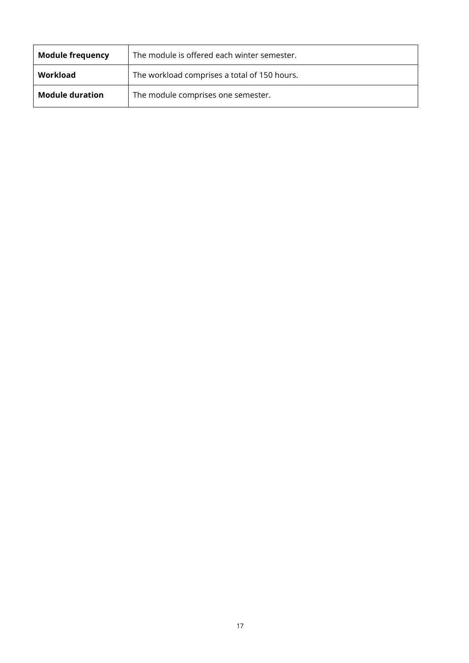| <b>Module frequency</b> | The module is offered each winter semester.  |
|-------------------------|----------------------------------------------|
| Workload                | The workload comprises a total of 150 hours. |
| <b>Module duration</b>  | The module comprises one semester.           |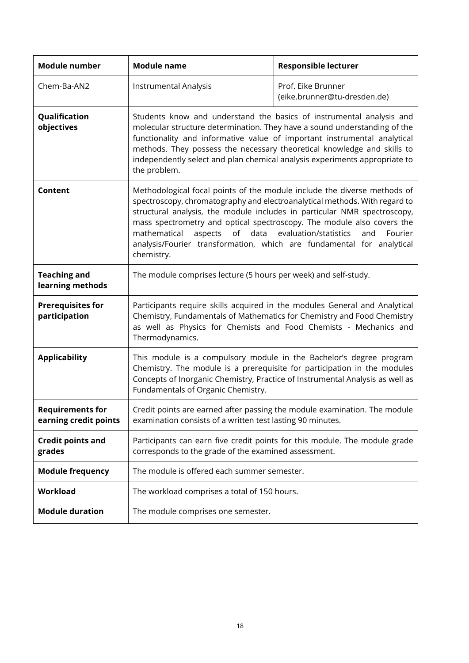| <b>Module number</b>                             | <b>Module name</b>                                                                                                                                                                                                                                                                                                                                                                                                                                                                      | <b>Responsible lecturer</b>                        |
|--------------------------------------------------|-----------------------------------------------------------------------------------------------------------------------------------------------------------------------------------------------------------------------------------------------------------------------------------------------------------------------------------------------------------------------------------------------------------------------------------------------------------------------------------------|----------------------------------------------------|
| Chem-Ba-AN2                                      | Instrumental Analysis                                                                                                                                                                                                                                                                                                                                                                                                                                                                   | Prof. Eike Brunner<br>(eike.brunner@tu-dresden.de) |
| Qualification<br>objectives                      | Students know and understand the basics of instrumental analysis and<br>molecular structure determination. They have a sound understanding of the<br>functionality and informative value of important instrumental analytical<br>methods. They possess the necessary theoretical knowledge and skills to<br>independently select and plan chemical analysis experiments appropriate to<br>the problem.                                                                                  |                                                    |
| <b>Content</b>                                   | Methodological focal points of the module include the diverse methods of<br>spectroscopy, chromatography and electroanalytical methods. With regard to<br>structural analysis, the module includes in particular NMR spectroscopy,<br>mass spectrometry and optical spectroscopy. The module also covers the<br>mathematical<br>of<br>data<br>evaluation/statistics<br>aspects<br>Fourier<br>and<br>analysis/Fourier transformation, which are fundamental for analytical<br>chemistry. |                                                    |
| <b>Teaching and</b><br>learning methods          | The module comprises lecture (5 hours per week) and self-study.                                                                                                                                                                                                                                                                                                                                                                                                                         |                                                    |
| <b>Prerequisites for</b><br>participation        | Participants require skills acquired in the modules General and Analytical<br>Chemistry, Fundamentals of Mathematics for Chemistry and Food Chemistry<br>as well as Physics for Chemists and Food Chemists - Mechanics and<br>Thermodynamics.                                                                                                                                                                                                                                           |                                                    |
| <b>Applicability</b>                             | This module is a compulsory module in the Bachelor's degree program<br>Chemistry. The module is a prerequisite for participation in the modules<br>Concepts of Inorganic Chemistry, Practice of Instrumental Analysis as well as<br>Fundamentals of Organic Chemistry.                                                                                                                                                                                                                  |                                                    |
| <b>Requirements for</b><br>earning credit points | Credit points are earned after passing the module examination. The module<br>examination consists of a written test lasting 90 minutes.                                                                                                                                                                                                                                                                                                                                                 |                                                    |
| <b>Credit points and</b><br>grades               | Participants can earn five credit points for this module. The module grade<br>corresponds to the grade of the examined assessment.                                                                                                                                                                                                                                                                                                                                                      |                                                    |
| <b>Module frequency</b>                          | The module is offered each summer semester.                                                                                                                                                                                                                                                                                                                                                                                                                                             |                                                    |
| Workload                                         | The workload comprises a total of 150 hours.                                                                                                                                                                                                                                                                                                                                                                                                                                            |                                                    |
| <b>Module duration</b>                           | The module comprises one semester.                                                                                                                                                                                                                                                                                                                                                                                                                                                      |                                                    |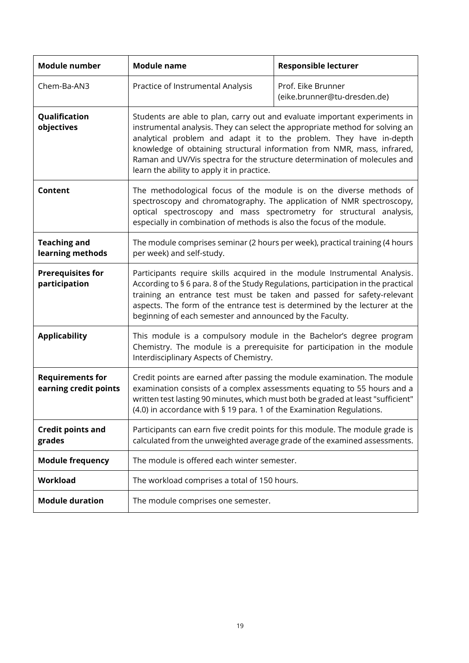| Module number                                    | <b>Module name</b>                                                                                                                                                                                                                                                                                                                                                                                                                     | <b>Responsible lecturer</b>                        |
|--------------------------------------------------|----------------------------------------------------------------------------------------------------------------------------------------------------------------------------------------------------------------------------------------------------------------------------------------------------------------------------------------------------------------------------------------------------------------------------------------|----------------------------------------------------|
| Chem-Ba-AN3                                      | Practice of Instrumental Analysis                                                                                                                                                                                                                                                                                                                                                                                                      | Prof. Eike Brunner<br>(eike.brunner@tu-dresden.de) |
| Qualification<br>objectives                      | Students are able to plan, carry out and evaluate important experiments in<br>instrumental analysis. They can select the appropriate method for solving an<br>analytical problem and adapt it to the problem. They have in-depth<br>knowledge of obtaining structural information from NMR, mass, infrared,<br>Raman and UV/Vis spectra for the structure determination of molecules and<br>learn the ability to apply it in practice. |                                                    |
| <b>Content</b>                                   | The methodological focus of the module is on the diverse methods of<br>spectroscopy and chromatography. The application of NMR spectroscopy,<br>optical spectroscopy and mass spectrometry for structural analysis,<br>especially in combination of methods is also the focus of the module.                                                                                                                                           |                                                    |
| <b>Teaching and</b><br>learning methods          | The module comprises seminar (2 hours per week), practical training (4 hours<br>per week) and self-study.                                                                                                                                                                                                                                                                                                                              |                                                    |
| <b>Prerequisites for</b><br>participation        | Participants require skills acquired in the module Instrumental Analysis.<br>According to § 6 para. 8 of the Study Regulations, participation in the practical<br>training an entrance test must be taken and passed for safety-relevant<br>aspects. The form of the entrance test is determined by the lecturer at the<br>beginning of each semester and announced by the Faculty.                                                    |                                                    |
| <b>Applicability</b>                             | This module is a compulsory module in the Bachelor's degree program<br>Chemistry. The module is a prerequisite for participation in the module<br>Interdisciplinary Aspects of Chemistry.                                                                                                                                                                                                                                              |                                                    |
| <b>Requirements for</b><br>earning credit points | Credit points are earned after passing the module examination. The module<br>examination consists of a complex assessments equating to 55 hours and a<br>written test lasting 90 minutes, which must both be graded at least "sufficient"<br>(4.0) in accordance with § 19 para. 1 of the Examination Regulations.                                                                                                                     |                                                    |
| <b>Credit points and</b><br>grades               | Participants can earn five credit points for this module. The module grade is<br>calculated from the unweighted average grade of the examined assessments.                                                                                                                                                                                                                                                                             |                                                    |
| <b>Module frequency</b>                          | The module is offered each winter semester.                                                                                                                                                                                                                                                                                                                                                                                            |                                                    |
| Workload                                         | The workload comprises a total of 150 hours.                                                                                                                                                                                                                                                                                                                                                                                           |                                                    |
| <b>Module duration</b>                           | The module comprises one semester.                                                                                                                                                                                                                                                                                                                                                                                                     |                                                    |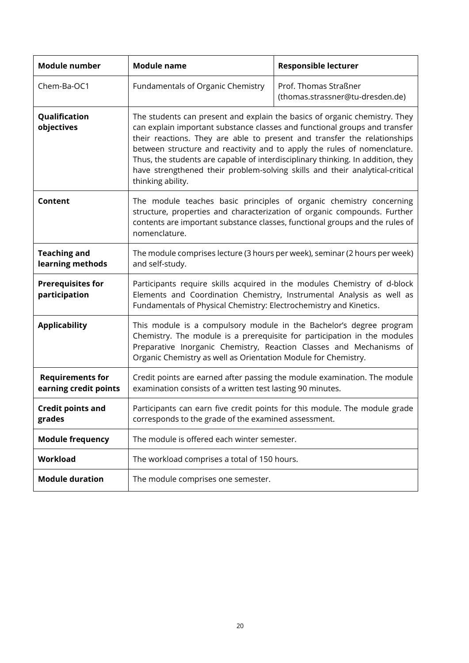| Module number                                    | <b>Module name</b>                                                                                                                                                                                                                                                                                                                                                                                                                                                                                       | <b>Responsible lecturer</b>                               |
|--------------------------------------------------|----------------------------------------------------------------------------------------------------------------------------------------------------------------------------------------------------------------------------------------------------------------------------------------------------------------------------------------------------------------------------------------------------------------------------------------------------------------------------------------------------------|-----------------------------------------------------------|
| Chem-Ba-OC1                                      | Fundamentals of Organic Chemistry                                                                                                                                                                                                                                                                                                                                                                                                                                                                        | Prof. Thomas Straßner<br>(thomas.strassner@tu-dresden.de) |
| Qualification<br>objectives                      | The students can present and explain the basics of organic chemistry. They<br>can explain important substance classes and functional groups and transfer<br>their reactions. They are able to present and transfer the relationships<br>between structure and reactivity and to apply the rules of nomenclature.<br>Thus, the students are capable of interdisciplinary thinking. In addition, they<br>have strengthened their problem-solving skills and their analytical-critical<br>thinking ability. |                                                           |
| Content                                          | The module teaches basic principles of organic chemistry concerning<br>structure, properties and characterization of organic compounds. Further<br>contents are important substance classes, functional groups and the rules of<br>nomenclature.                                                                                                                                                                                                                                                         |                                                           |
| <b>Teaching and</b><br>learning methods          | The module comprises lecture (3 hours per week), seminar (2 hours per week)<br>and self-study.                                                                                                                                                                                                                                                                                                                                                                                                           |                                                           |
| <b>Prerequisites for</b><br>participation        | Participants require skills acquired in the modules Chemistry of d-block<br>Elements and Coordination Chemistry, Instrumental Analysis as well as<br>Fundamentals of Physical Chemistry: Electrochemistry and Kinetics.                                                                                                                                                                                                                                                                                  |                                                           |
| <b>Applicability</b>                             | This module is a compulsory module in the Bachelor's degree program<br>Chemistry. The module is a prerequisite for participation in the modules<br>Preparative Inorganic Chemistry, Reaction Classes and Mechanisms of<br>Organic Chemistry as well as Orientation Module for Chemistry.                                                                                                                                                                                                                 |                                                           |
| <b>Requirements for</b><br>earning credit points | Credit points are earned after passing the module examination. The module<br>examination consists of a written test lasting 90 minutes.                                                                                                                                                                                                                                                                                                                                                                  |                                                           |
| <b>Credit points and</b><br>grades               | Participants can earn five credit points for this module. The module grade<br>corresponds to the grade of the examined assessment.                                                                                                                                                                                                                                                                                                                                                                       |                                                           |
| <b>Module frequency</b>                          | The module is offered each winter semester.                                                                                                                                                                                                                                                                                                                                                                                                                                                              |                                                           |
| Workload                                         | The workload comprises a total of 150 hours.                                                                                                                                                                                                                                                                                                                                                                                                                                                             |                                                           |
| <b>Module duration</b>                           | The module comprises one semester.                                                                                                                                                                                                                                                                                                                                                                                                                                                                       |                                                           |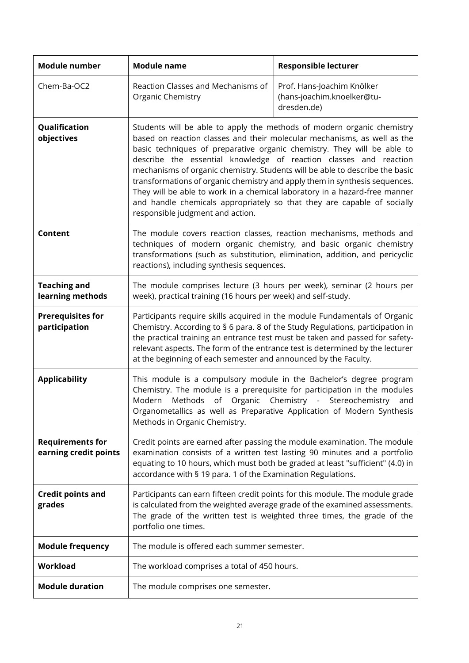| <b>Module number</b>                             | <b>Module name</b>                                                                                                                                                                                                                                                                                                                                                                                                                                                                                                                                                                                                                                             | <b>Responsible lecturer</b>                                             |
|--------------------------------------------------|----------------------------------------------------------------------------------------------------------------------------------------------------------------------------------------------------------------------------------------------------------------------------------------------------------------------------------------------------------------------------------------------------------------------------------------------------------------------------------------------------------------------------------------------------------------------------------------------------------------------------------------------------------------|-------------------------------------------------------------------------|
| Chem-Ba-OC2                                      | Reaction Classes and Mechanisms of<br>Organic Chemistry                                                                                                                                                                                                                                                                                                                                                                                                                                                                                                                                                                                                        | Prof. Hans-Joachim Knölker<br>(hans-joachim.knoelker@tu-<br>dresden.de) |
| Qualification<br>objectives                      | Students will be able to apply the methods of modern organic chemistry<br>based on reaction classes and their molecular mechanisms, as well as the<br>basic techniques of preparative organic chemistry. They will be able to<br>describe the essential knowledge of reaction classes and reaction<br>mechanisms of organic chemistry. Students will be able to describe the basic<br>transformations of organic chemistry and apply them in synthesis sequences.<br>They will be able to work in a chemical laboratory in a hazard-free manner<br>and handle chemicals appropriately so that they are capable of socially<br>responsible judgment and action. |                                                                         |
| <b>Content</b>                                   | The module covers reaction classes, reaction mechanisms, methods and<br>techniques of modern organic chemistry, and basic organic chemistry<br>transformations (such as substitution, elimination, addition, and pericyclic<br>reactions), including synthesis sequences.                                                                                                                                                                                                                                                                                                                                                                                      |                                                                         |
| <b>Teaching and</b><br>learning methods          | The module comprises lecture (3 hours per week), seminar (2 hours per<br>week), practical training (16 hours per week) and self-study.                                                                                                                                                                                                                                                                                                                                                                                                                                                                                                                         |                                                                         |
| <b>Prerequisites for</b><br>participation        | Participants require skills acquired in the module Fundamentals of Organic<br>Chemistry. According to § 6 para. 8 of the Study Regulations, participation in<br>the practical training an entrance test must be taken and passed for safety-<br>relevant aspects. The form of the entrance test is determined by the lecturer<br>at the beginning of each semester and announced by the Faculty.                                                                                                                                                                                                                                                               |                                                                         |
| <b>Applicability</b>                             | This module is a compulsory module in the Bachelor's degree program<br>Chemistry. The module is a prerequisite for participation in the modules<br>Modern<br>Methods of Organic Chemistry - Stereochemistry<br>and<br>Organometallics as well as Preparative Application of Modern Synthesis<br>Methods in Organic Chemistry.                                                                                                                                                                                                                                                                                                                                  |                                                                         |
| <b>Requirements for</b><br>earning credit points | Credit points are earned after passing the module examination. The module<br>examination consists of a written test lasting 90 minutes and a portfolio<br>equating to 10 hours, which must both be graded at least "sufficient" (4.0) in<br>accordance with § 19 para. 1 of the Examination Regulations.                                                                                                                                                                                                                                                                                                                                                       |                                                                         |
| <b>Credit points and</b><br>grades               | Participants can earn fifteen credit points for this module. The module grade<br>is calculated from the weighted average grade of the examined assessments.<br>The grade of the written test is weighted three times, the grade of the<br>portfolio one times.                                                                                                                                                                                                                                                                                                                                                                                                 |                                                                         |
| <b>Module frequency</b>                          | The module is offered each summer semester.                                                                                                                                                                                                                                                                                                                                                                                                                                                                                                                                                                                                                    |                                                                         |
| Workload                                         | The workload comprises a total of 450 hours.                                                                                                                                                                                                                                                                                                                                                                                                                                                                                                                                                                                                                   |                                                                         |
| <b>Module duration</b>                           | The module comprises one semester.                                                                                                                                                                                                                                                                                                                                                                                                                                                                                                                                                                                                                             |                                                                         |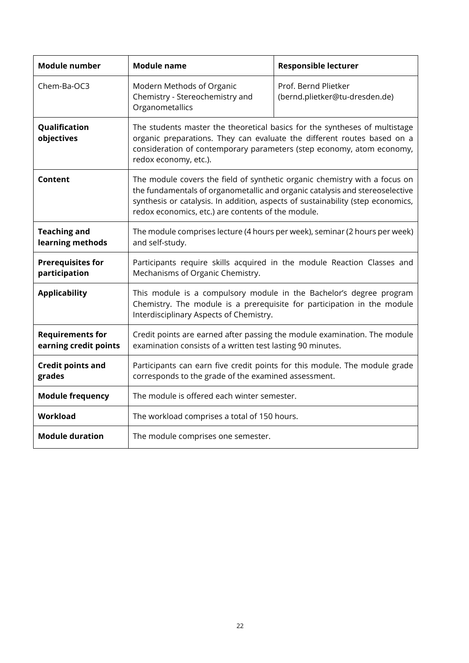| <b>Module number</b>                             | <b>Module name</b>                                                                                                                                                                                                                                                                                  | <b>Responsible lecturer</b>                            |
|--------------------------------------------------|-----------------------------------------------------------------------------------------------------------------------------------------------------------------------------------------------------------------------------------------------------------------------------------------------------|--------------------------------------------------------|
| Chem-Ba-OC3                                      | Modern Methods of Organic<br>Chemistry - Stereochemistry and<br>Organometallics                                                                                                                                                                                                                     | Prof. Bernd Plietker<br>(bernd.plietker@tu-dresden.de) |
| Qualification<br>objectives                      | The students master the theoretical basics for the syntheses of multistage<br>organic preparations. They can evaluate the different routes based on a<br>consideration of contemporary parameters (step economy, atom economy,<br>redox economy, etc.).                                             |                                                        |
| Content                                          | The module covers the field of synthetic organic chemistry with a focus on<br>the fundamentals of organometallic and organic catalysis and stereoselective<br>synthesis or catalysis. In addition, aspects of sustainability (step economics,<br>redox economics, etc.) are contents of the module. |                                                        |
| <b>Teaching and</b><br>learning methods          | The module comprises lecture (4 hours per week), seminar (2 hours per week)<br>and self-study.                                                                                                                                                                                                      |                                                        |
| <b>Prerequisites for</b><br>participation        | Participants require skills acquired in the module Reaction Classes and<br>Mechanisms of Organic Chemistry.                                                                                                                                                                                         |                                                        |
| <b>Applicability</b>                             | This module is a compulsory module in the Bachelor's degree program<br>Chemistry. The module is a prerequisite for participation in the module<br>Interdisciplinary Aspects of Chemistry.                                                                                                           |                                                        |
| <b>Requirements for</b><br>earning credit points | Credit points are earned after passing the module examination. The module<br>examination consists of a written test lasting 90 minutes.                                                                                                                                                             |                                                        |
| <b>Credit points and</b><br>grades               | Participants can earn five credit points for this module. The module grade<br>corresponds to the grade of the examined assessment.                                                                                                                                                                  |                                                        |
| <b>Module frequency</b>                          | The module is offered each winter semester.                                                                                                                                                                                                                                                         |                                                        |
| <b>Workload</b>                                  | The workload comprises a total of 150 hours.                                                                                                                                                                                                                                                        |                                                        |
| <b>Module duration</b>                           | The module comprises one semester.                                                                                                                                                                                                                                                                  |                                                        |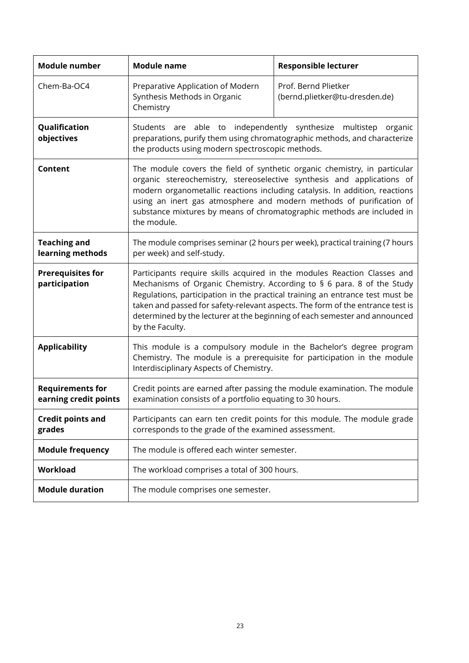| <b>Module number</b>                             | <b>Module name</b>                                                                                                                                                                                                                                                                                                                                                                                                     | <b>Responsible lecturer</b>                            |
|--------------------------------------------------|------------------------------------------------------------------------------------------------------------------------------------------------------------------------------------------------------------------------------------------------------------------------------------------------------------------------------------------------------------------------------------------------------------------------|--------------------------------------------------------|
| Chem-Ba-OC4                                      | Preparative Application of Modern<br>Synthesis Methods in Organic<br>Chemistry                                                                                                                                                                                                                                                                                                                                         | Prof. Bernd Plietker<br>(bernd.plietker@tu-dresden.de) |
| Qualification<br>objectives                      | Students are able to independently synthesize<br>multistep organic<br>preparations, purify them using chromatographic methods, and characterize<br>the products using modern spectroscopic methods.                                                                                                                                                                                                                    |                                                        |
| <b>Content</b>                                   | The module covers the field of synthetic organic chemistry, in particular<br>organic stereochemistry, stereoselective synthesis and applications of<br>modern organometallic reactions including catalysis. In addition, reactions<br>using an inert gas atmosphere and modern methods of purification of<br>substance mixtures by means of chromatographic methods are included in<br>the module.                     |                                                        |
| <b>Teaching and</b><br>learning methods          | The module comprises seminar (2 hours per week), practical training (7 hours<br>per week) and self-study.                                                                                                                                                                                                                                                                                                              |                                                        |
| <b>Prerequisites for</b><br>participation        | Participants require skills acquired in the modules Reaction Classes and<br>Mechanisms of Organic Chemistry. According to § 6 para. 8 of the Study<br>Regulations, participation in the practical training an entrance test must be<br>taken and passed for safety-relevant aspects. The form of the entrance test is<br>determined by the lecturer at the beginning of each semester and announced<br>by the Faculty. |                                                        |
| <b>Applicability</b>                             | This module is a compulsory module in the Bachelor's degree program<br>Chemistry. The module is a prerequisite for participation in the module<br>Interdisciplinary Aspects of Chemistry.                                                                                                                                                                                                                              |                                                        |
| <b>Requirements for</b><br>earning credit points | Credit points are earned after passing the module examination. The module<br>examination consists of a portfolio equating to 30 hours.                                                                                                                                                                                                                                                                                 |                                                        |
| <b>Credit points and</b><br>grades               | Participants can earn ten credit points for this module. The module grade<br>corresponds to the grade of the examined assessment.                                                                                                                                                                                                                                                                                      |                                                        |
| <b>Module frequency</b>                          | The module is offered each winter semester.                                                                                                                                                                                                                                                                                                                                                                            |                                                        |
| Workload                                         | The workload comprises a total of 300 hours.                                                                                                                                                                                                                                                                                                                                                                           |                                                        |
| <b>Module duration</b>                           | The module comprises one semester.                                                                                                                                                                                                                                                                                                                                                                                     |                                                        |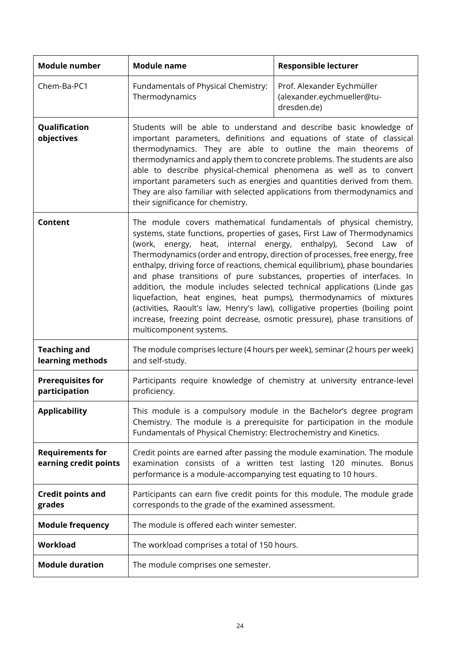| <b>Module number</b>                             | <b>Module name</b>                                                                                                                                                                                                                                                                                                                                                                                                                                                                                                                                                                                                                                                                                                                                                                                          | <b>Responsible lecturer</b>                                                                                                                    |
|--------------------------------------------------|-------------------------------------------------------------------------------------------------------------------------------------------------------------------------------------------------------------------------------------------------------------------------------------------------------------------------------------------------------------------------------------------------------------------------------------------------------------------------------------------------------------------------------------------------------------------------------------------------------------------------------------------------------------------------------------------------------------------------------------------------------------------------------------------------------------|------------------------------------------------------------------------------------------------------------------------------------------------|
| Chem-Ba-PC1                                      | Fundamentals of Physical Chemistry:<br>Thermodynamics                                                                                                                                                                                                                                                                                                                                                                                                                                                                                                                                                                                                                                                                                                                                                       | Prof. Alexander Eychmüller<br>(alexander.eychmueller@tu-<br>dresden.de)                                                                        |
| Qualification<br>objectives                      | Students will be able to understand and describe basic knowledge of<br>important parameters, definitions and equations of state of classical<br>thermodynamics. They are able to outline the main theorems of<br>thermodynamics and apply them to concrete problems. The students are also<br>able to describe physical-chemical phenomena as well as to convert<br>important parameters such as energies and quantities derived from them.<br>They are also familiar with selected applications from thermodynamics and<br>their significance for chemistry.                                                                                                                                                                                                                                               |                                                                                                                                                |
| Content                                          | The module covers mathematical fundamentals of physical chemistry,<br>systems, state functions, properties of gases, First Law of Thermodynamics<br>(work, energy, heat, internal energy, enthalpy), Second Law of<br>Thermodynamics (order and entropy, direction of processes, free energy, free<br>enthalpy, driving force of reactions, chemical equilibrium), phase boundaries<br>and phase transitions of pure substances, properties of interfaces. In<br>addition, the module includes selected technical applications (Linde gas<br>liquefaction, heat engines, heat pumps), thermodynamics of mixtures<br>(activities, Raoult's law, Henry's law), colligative properties (boiling point<br>increase, freezing point decrease, osmotic pressure), phase transitions of<br>multicomponent systems. |                                                                                                                                                |
| <b>Teaching and</b><br>learning methods          | The module comprises lecture (4 hours per week), seminar (2 hours per week)<br>and self-study.                                                                                                                                                                                                                                                                                                                                                                                                                                                                                                                                                                                                                                                                                                              |                                                                                                                                                |
| <b>Prerequisites for</b><br>participation        | Participants require knowledge of chemistry at university entrance-level<br>proficiency.                                                                                                                                                                                                                                                                                                                                                                                                                                                                                                                                                                                                                                                                                                                    |                                                                                                                                                |
| <b>Applicability</b>                             | Fundamentals of Physical Chemistry: Electrochemistry and Kinetics.                                                                                                                                                                                                                                                                                                                                                                                                                                                                                                                                                                                                                                                                                                                                          | This module is a compulsory module in the Bachelor's degree program<br>Chemistry. The module is a prerequisite for participation in the module |
| <b>Requirements for</b><br>earning credit points | performance is a module-accompanying test equating to 10 hours.                                                                                                                                                                                                                                                                                                                                                                                                                                                                                                                                                                                                                                                                                                                                             | Credit points are earned after passing the module examination. The module<br>examination consists of a written test lasting 120 minutes. Bonus |
| <b>Credit points and</b><br>grades               | Participants can earn five credit points for this module. The module grade<br>corresponds to the grade of the examined assessment.                                                                                                                                                                                                                                                                                                                                                                                                                                                                                                                                                                                                                                                                          |                                                                                                                                                |
| <b>Module frequency</b>                          | The module is offered each winter semester.                                                                                                                                                                                                                                                                                                                                                                                                                                                                                                                                                                                                                                                                                                                                                                 |                                                                                                                                                |
| <b>Workload</b>                                  | The workload comprises a total of 150 hours.                                                                                                                                                                                                                                                                                                                                                                                                                                                                                                                                                                                                                                                                                                                                                                |                                                                                                                                                |
| <b>Module duration</b>                           | The module comprises one semester.                                                                                                                                                                                                                                                                                                                                                                                                                                                                                                                                                                                                                                                                                                                                                                          |                                                                                                                                                |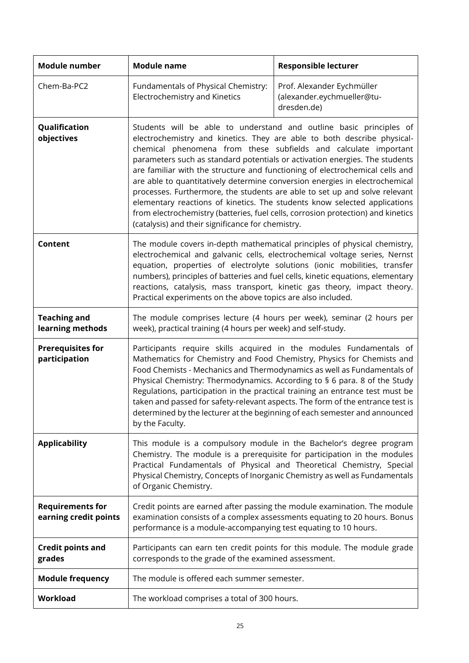| <b>Module number</b>                             | <b>Module name</b>                                                                                                                                                                                                                                                                                                                                                                                                                                                                                                                                                                                                                                                                                                                                                  | <b>Responsible lecturer</b>                                                 |
|--------------------------------------------------|---------------------------------------------------------------------------------------------------------------------------------------------------------------------------------------------------------------------------------------------------------------------------------------------------------------------------------------------------------------------------------------------------------------------------------------------------------------------------------------------------------------------------------------------------------------------------------------------------------------------------------------------------------------------------------------------------------------------------------------------------------------------|-----------------------------------------------------------------------------|
| Chem-Ba-PC2                                      | Fundamentals of Physical Chemistry:<br>Electrochemistry and Kinetics                                                                                                                                                                                                                                                                                                                                                                                                                                                                                                                                                                                                                                                                                                | Prof. Alexander Eychmüller<br>(alexander.eychmueller@tu-<br>dresden.de)     |
| Qualification<br>objectives                      | Students will be able to understand and outline basic principles of<br>electrochemistry and kinetics. They are able to both describe physical-<br>chemical phenomena from these subfields and calculate important<br>parameters such as standard potentials or activation energies. The students<br>are familiar with the structure and functioning of electrochemical cells and<br>are able to quantitatively determine conversion energies in electrochemical<br>processes. Furthermore, the students are able to set up and solve relevant<br>elementary reactions of kinetics. The students know selected applications<br>from electrochemistry (batteries, fuel cells, corrosion protection) and kinetics<br>(catalysis) and their significance for chemistry. |                                                                             |
| <b>Content</b>                                   | The module covers in-depth mathematical principles of physical chemistry,<br>electrochemical and galvanic cells, electrochemical voltage series, Nernst<br>equation, properties of electrolyte solutions (ionic mobilities, transfer<br>numbers), principles of batteries and fuel cells, kinetic equations, elementary<br>reactions, catalysis, mass transport, kinetic gas theory, impact theory.<br>Practical experiments on the above topics are also included.                                                                                                                                                                                                                                                                                                 |                                                                             |
| <b>Teaching and</b><br>learning methods          | The module comprises lecture (4 hours per week), seminar (2 hours per<br>week), practical training (4 hours per week) and self-study.                                                                                                                                                                                                                                                                                                                                                                                                                                                                                                                                                                                                                               |                                                                             |
| <b>Prerequisites for</b><br>participation        | Participants require skills acquired in the modules Fundamentals of<br>Mathematics for Chemistry and Food Chemistry, Physics for Chemists and<br>Food Chemists - Mechanics and Thermodynamics as well as Fundamentals of<br>Physical Chemistry: Thermodynamics. According to § 6 para. 8 of the Study<br>Regulations, participation in the practical training an entrance test must be<br>taken and passed for safety-relevant aspects. The form of the entrance test is<br>determined by the lecturer at the beginning of each semester and announced<br>by the Faculty.                                                                                                                                                                                           |                                                                             |
| <b>Applicability</b>                             | This module is a compulsory module in the Bachelor's degree program<br>Chemistry. The module is a prerequisite for participation in the modules<br>Practical Fundamentals of Physical and Theoretical Chemistry, Special<br>of Organic Chemistry.                                                                                                                                                                                                                                                                                                                                                                                                                                                                                                                   | Physical Chemistry, Concepts of Inorganic Chemistry as well as Fundamentals |
| <b>Requirements for</b><br>earning credit points | Credit points are earned after passing the module examination. The module<br>examination consists of a complex assessments equating to 20 hours. Bonus<br>performance is a module-accompanying test equating to 10 hours.                                                                                                                                                                                                                                                                                                                                                                                                                                                                                                                                           |                                                                             |
| <b>Credit points and</b><br>grades               | corresponds to the grade of the examined assessment.                                                                                                                                                                                                                                                                                                                                                                                                                                                                                                                                                                                                                                                                                                                | Participants can earn ten credit points for this module. The module grade   |
| <b>Module frequency</b>                          | The module is offered each summer semester.                                                                                                                                                                                                                                                                                                                                                                                                                                                                                                                                                                                                                                                                                                                         |                                                                             |
| Workload                                         | The workload comprises a total of 300 hours.                                                                                                                                                                                                                                                                                                                                                                                                                                                                                                                                                                                                                                                                                                                        |                                                                             |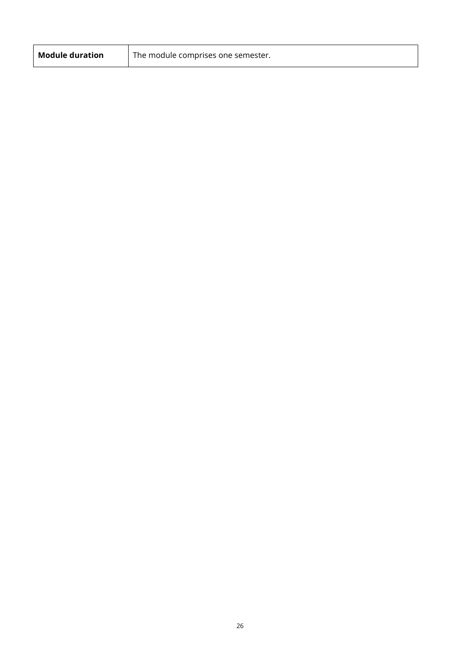| <b>Module duration</b> | The module comprises one semester. |
|------------------------|------------------------------------|
|------------------------|------------------------------------|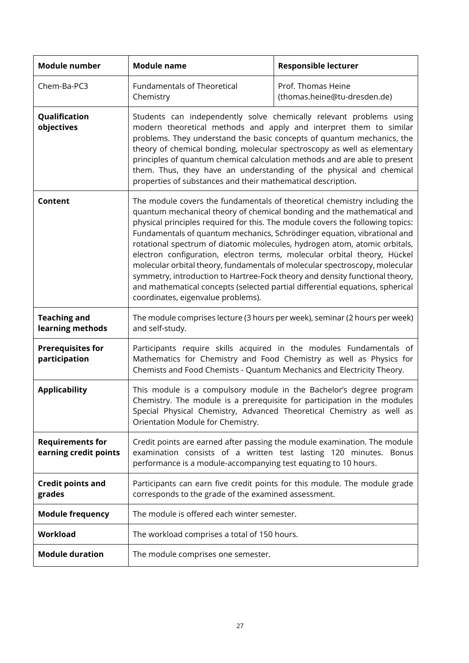| <b>Module number</b>                             | <b>Module name</b>                                                                                                                                                                                                                                                                                                                                                                                                                                                                                                                                                                                                                                                                                                                                                | <b>Responsible lecturer</b>                                                                                                                                                                                              |
|--------------------------------------------------|-------------------------------------------------------------------------------------------------------------------------------------------------------------------------------------------------------------------------------------------------------------------------------------------------------------------------------------------------------------------------------------------------------------------------------------------------------------------------------------------------------------------------------------------------------------------------------------------------------------------------------------------------------------------------------------------------------------------------------------------------------------------|--------------------------------------------------------------------------------------------------------------------------------------------------------------------------------------------------------------------------|
| Chem-Ba-PC3                                      | <b>Fundamentals of Theoretical</b><br>Chemistry                                                                                                                                                                                                                                                                                                                                                                                                                                                                                                                                                                                                                                                                                                                   | Prof. Thomas Heine<br>(thomas.heine@tu-dresden.de)                                                                                                                                                                       |
| Qualification<br>objectives                      | Students can independently solve chemically relevant problems using<br>modern theoretical methods and apply and interpret them to similar<br>problems. They understand the basic concepts of quantum mechanics, the<br>theory of chemical bonding, molecular spectroscopy as well as elementary<br>principles of quantum chemical calculation methods and are able to present<br>them. Thus, they have an understanding of the physical and chemical<br>properties of substances and their mathematical description.                                                                                                                                                                                                                                              |                                                                                                                                                                                                                          |
| <b>Content</b>                                   | The module covers the fundamentals of theoretical chemistry including the<br>quantum mechanical theory of chemical bonding and the mathematical and<br>physical principles required for this. The module covers the following topics:<br>Fundamentals of quantum mechanics, Schrödinger equation, vibrational and<br>rotational spectrum of diatomic molecules, hydrogen atom, atomic orbitals,<br>electron configuration, electron terms, molecular orbital theory, Hückel<br>molecular orbital theory, fundamentals of molecular spectroscopy, molecular<br>symmetry, introduction to Hartree-Fock theory and density functional theory,<br>and mathematical concepts (selected partial differential equations, spherical<br>coordinates, eigenvalue problems). |                                                                                                                                                                                                                          |
| <b>Teaching and</b><br>learning methods          | The module comprises lecture (3 hours per week), seminar (2 hours per week)<br>and self-study.                                                                                                                                                                                                                                                                                                                                                                                                                                                                                                                                                                                                                                                                    |                                                                                                                                                                                                                          |
| <b>Prerequisites for</b><br>participation        | Participants require skills acquired in the modules Fundamentals of<br>Mathematics for Chemistry and Food Chemistry as well as Physics for<br>Chemists and Food Chemists - Quantum Mechanics and Electricity Theory.                                                                                                                                                                                                                                                                                                                                                                                                                                                                                                                                              |                                                                                                                                                                                                                          |
| <b>Applicability</b>                             | Orientation Module for Chemistry.                                                                                                                                                                                                                                                                                                                                                                                                                                                                                                                                                                                                                                                                                                                                 | This module is a compulsory module in the Bachelor's degree program<br>Chemistry. The module is a prerequisite for participation in the modules<br>Special Physical Chemistry, Advanced Theoretical Chemistry as well as |
| <b>Requirements for</b><br>earning credit points | Credit points are earned after passing the module examination. The module<br>examination consists of a written test lasting 120 minutes. Bonus<br>performance is a module-accompanying test equating to 10 hours.                                                                                                                                                                                                                                                                                                                                                                                                                                                                                                                                                 |                                                                                                                                                                                                                          |
| <b>Credit points and</b><br>grades               | Participants can earn five credit points for this module. The module grade<br>corresponds to the grade of the examined assessment.                                                                                                                                                                                                                                                                                                                                                                                                                                                                                                                                                                                                                                |                                                                                                                                                                                                                          |
| <b>Module frequency</b>                          | The module is offered each winter semester.                                                                                                                                                                                                                                                                                                                                                                                                                                                                                                                                                                                                                                                                                                                       |                                                                                                                                                                                                                          |
| <b>Workload</b>                                  | The workload comprises a total of 150 hours.                                                                                                                                                                                                                                                                                                                                                                                                                                                                                                                                                                                                                                                                                                                      |                                                                                                                                                                                                                          |
| <b>Module duration</b>                           | The module comprises one semester.                                                                                                                                                                                                                                                                                                                                                                                                                                                                                                                                                                                                                                                                                                                                |                                                                                                                                                                                                                          |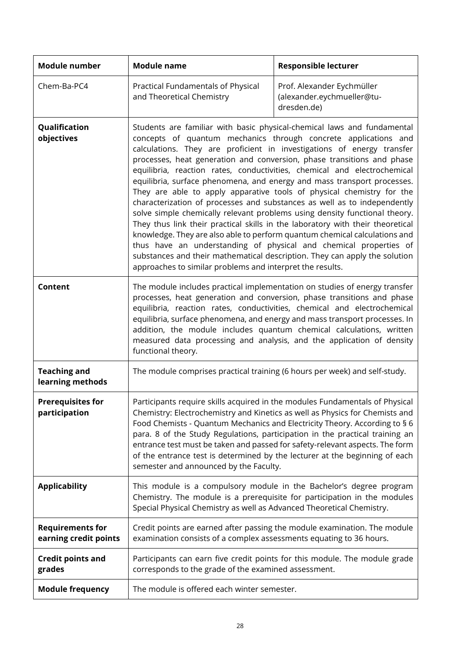| Module number                                    | <b>Module name</b>                                                                                                                                                                                                                                                                                                                                                                                                                                                                                                                                                                                                                                                                                                                                                                                                                                                                                                                                                                                                                                                       | <b>Responsible lecturer</b>                                             |
|--------------------------------------------------|--------------------------------------------------------------------------------------------------------------------------------------------------------------------------------------------------------------------------------------------------------------------------------------------------------------------------------------------------------------------------------------------------------------------------------------------------------------------------------------------------------------------------------------------------------------------------------------------------------------------------------------------------------------------------------------------------------------------------------------------------------------------------------------------------------------------------------------------------------------------------------------------------------------------------------------------------------------------------------------------------------------------------------------------------------------------------|-------------------------------------------------------------------------|
| Chem-Ba-PC4                                      | Practical Fundamentals of Physical<br>and Theoretical Chemistry                                                                                                                                                                                                                                                                                                                                                                                                                                                                                                                                                                                                                                                                                                                                                                                                                                                                                                                                                                                                          | Prof. Alexander Eychmüller<br>(alexander.eychmueller@tu-<br>dresden.de) |
| Qualification<br>objectives                      | Students are familiar with basic physical-chemical laws and fundamental<br>concepts of quantum mechanics through concrete applications and<br>calculations. They are proficient in investigations of energy transfer<br>processes, heat generation and conversion, phase transitions and phase<br>equilibria, reaction rates, conductivities, chemical and electrochemical<br>equilibria, surface phenomena, and energy and mass transport processes.<br>They are able to apply apparative tools of physical chemistry for the<br>characterization of processes and substances as well as to independently<br>solve simple chemically relevant problems using density functional theory.<br>They thus link their practical skills in the laboratory with their theoretical<br>knowledge. They are also able to perform quantum chemical calculations and<br>thus have an understanding of physical and chemical properties of<br>substances and their mathematical description. They can apply the solution<br>approaches to similar problems and interpret the results. |                                                                         |
| Content                                          | The module includes practical implementation on studies of energy transfer<br>processes, heat generation and conversion, phase transitions and phase<br>equilibria, reaction rates, conductivities, chemical and electrochemical<br>equilibria, surface phenomena, and energy and mass transport processes. In<br>addition, the module includes quantum chemical calculations, written<br>measured data processing and analysis, and the application of density<br>functional theory.                                                                                                                                                                                                                                                                                                                                                                                                                                                                                                                                                                                    |                                                                         |
| <b>Teaching and</b><br>learning methods          | The module comprises practical training (6 hours per week) and self-study.                                                                                                                                                                                                                                                                                                                                                                                                                                                                                                                                                                                                                                                                                                                                                                                                                                                                                                                                                                                               |                                                                         |
| <b>Prerequisites for</b><br>participation        | Participants require skills acquired in the modules Fundamentals of Physical<br>Chemistry: Electrochemistry and Kinetics as well as Physics for Chemists and<br>Food Chemists - Quantum Mechanics and Electricity Theory. According to § 6<br>para. 8 of the Study Regulations, participation in the practical training an<br>entrance test must be taken and passed for safety-relevant aspects. The form<br>of the entrance test is determined by the lecturer at the beginning of each<br>semester and announced by the Faculty.                                                                                                                                                                                                                                                                                                                                                                                                                                                                                                                                      |                                                                         |
| <b>Applicability</b>                             | This module is a compulsory module in the Bachelor's degree program<br>Chemistry. The module is a prerequisite for participation in the modules<br>Special Physical Chemistry as well as Advanced Theoretical Chemistry.                                                                                                                                                                                                                                                                                                                                                                                                                                                                                                                                                                                                                                                                                                                                                                                                                                                 |                                                                         |
| <b>Requirements for</b><br>earning credit points | Credit points are earned after passing the module examination. The module<br>examination consists of a complex assessments equating to 36 hours.                                                                                                                                                                                                                                                                                                                                                                                                                                                                                                                                                                                                                                                                                                                                                                                                                                                                                                                         |                                                                         |
| <b>Credit points and</b><br>grades               | Participants can earn five credit points for this module. The module grade<br>corresponds to the grade of the examined assessment.                                                                                                                                                                                                                                                                                                                                                                                                                                                                                                                                                                                                                                                                                                                                                                                                                                                                                                                                       |                                                                         |
| <b>Module frequency</b>                          | The module is offered each winter semester.                                                                                                                                                                                                                                                                                                                                                                                                                                                                                                                                                                                                                                                                                                                                                                                                                                                                                                                                                                                                                              |                                                                         |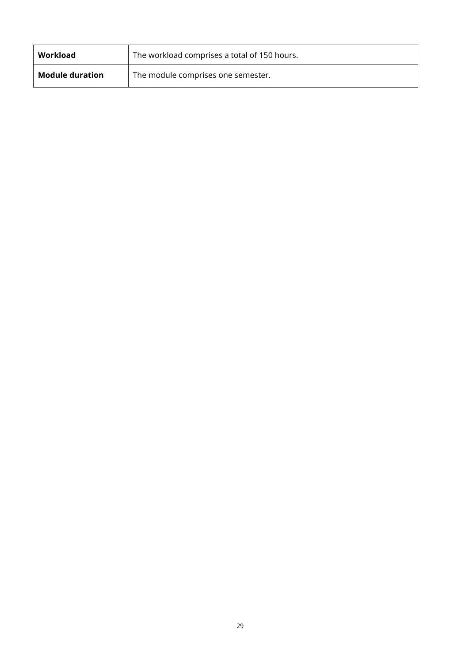| Workload               | The workload comprises a total of 150 hours. |
|------------------------|----------------------------------------------|
| <b>Module duration</b> | The module comprises one semester.           |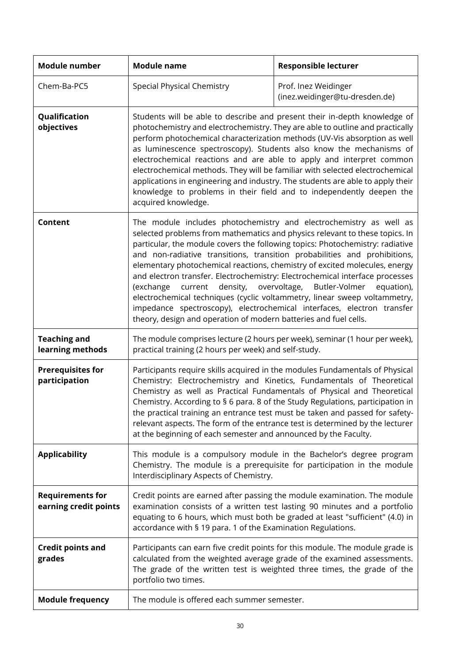| Module number                                    | <b>Module name</b>                                                                                                                                                                                                                                                                                                                                                                                                                                                                                                                                                                                                                                                                                                                                                                 | <b>Responsible lecturer</b>                            |  |  |  |
|--------------------------------------------------|------------------------------------------------------------------------------------------------------------------------------------------------------------------------------------------------------------------------------------------------------------------------------------------------------------------------------------------------------------------------------------------------------------------------------------------------------------------------------------------------------------------------------------------------------------------------------------------------------------------------------------------------------------------------------------------------------------------------------------------------------------------------------------|--------------------------------------------------------|--|--|--|
| Chem-Ba-PC5                                      | <b>Special Physical Chemistry</b>                                                                                                                                                                                                                                                                                                                                                                                                                                                                                                                                                                                                                                                                                                                                                  | Prof. Inez Weidinger<br>(inez.weidinger@tu-dresden.de) |  |  |  |
| Qualification<br>objectives                      | Students will be able to describe and present their in-depth knowledge of<br>photochemistry and electrochemistry. They are able to outline and practically<br>perform photochemical characterization methods (UV-Vis absorption as well<br>as luminescence spectroscopy). Students also know the mechanisms of<br>electrochemical reactions and are able to apply and interpret common<br>electrochemical methods. They will be familiar with selected electrochemical<br>applications in engineering and industry. The students are able to apply their<br>knowledge to problems in their field and to independently deepen the<br>acquired knowledge.                                                                                                                            |                                                        |  |  |  |
| Content                                          | The module includes photochemistry and electrochemistry as well as<br>selected problems from mathematics and physics relevant to these topics. In<br>particular, the module covers the following topics: Photochemistry: radiative<br>and non-radiative transitions, transition probabilities and prohibitions,<br>elementary photochemical reactions, chemistry of excited molecules, energy<br>and electron transfer. Electrochemistry: Electrochemical interface processes<br>current density, overvoltage, Butler-Volmer<br>(exchange<br>equation),<br>electrochemical techniques (cyclic voltammetry, linear sweep voltammetry,<br>impedance spectroscopy), electrochemical interfaces, electron transfer<br>theory, design and operation of modern batteries and fuel cells. |                                                        |  |  |  |
| <b>Teaching and</b><br>learning methods          | The module comprises lecture (2 hours per week), seminar (1 hour per week),<br>practical training (2 hours per week) and self-study.                                                                                                                                                                                                                                                                                                                                                                                                                                                                                                                                                                                                                                               |                                                        |  |  |  |
| <b>Prerequisites for</b><br>participation        | Participants require skills acquired in the modules Fundamentals of Physical<br>Chemistry: Electrochemistry and Kinetics, Fundamentals of Theoretical<br>Chemistry as well as Practical Fundamentals of Physical and Theoretical<br>Chemistry. According to § 6 para. 8 of the Study Regulations, participation in<br>the practical training an entrance test must be taken and passed for safety-<br>relevant aspects. The form of the entrance test is determined by the lecturer<br>at the beginning of each semester and announced by the Faculty.                                                                                                                                                                                                                             |                                                        |  |  |  |
| <b>Applicability</b>                             | This module is a compulsory module in the Bachelor's degree program<br>Chemistry. The module is a prerequisite for participation in the module<br>Interdisciplinary Aspects of Chemistry.                                                                                                                                                                                                                                                                                                                                                                                                                                                                                                                                                                                          |                                                        |  |  |  |
| <b>Requirements for</b><br>earning credit points | Credit points are earned after passing the module examination. The module<br>examination consists of a written test lasting 90 minutes and a portfolio<br>equating to 6 hours, which must both be graded at least "sufficient" (4.0) in<br>accordance with § 19 para. 1 of the Examination Regulations.                                                                                                                                                                                                                                                                                                                                                                                                                                                                            |                                                        |  |  |  |
| <b>Credit points and</b><br>grades               | Participants can earn five credit points for this module. The module grade is<br>calculated from the weighted average grade of the examined assessments.<br>The grade of the written test is weighted three times, the grade of the<br>portfolio two times.                                                                                                                                                                                                                                                                                                                                                                                                                                                                                                                        |                                                        |  |  |  |
| <b>Module frequency</b>                          | The module is offered each summer semester.                                                                                                                                                                                                                                                                                                                                                                                                                                                                                                                                                                                                                                                                                                                                        |                                                        |  |  |  |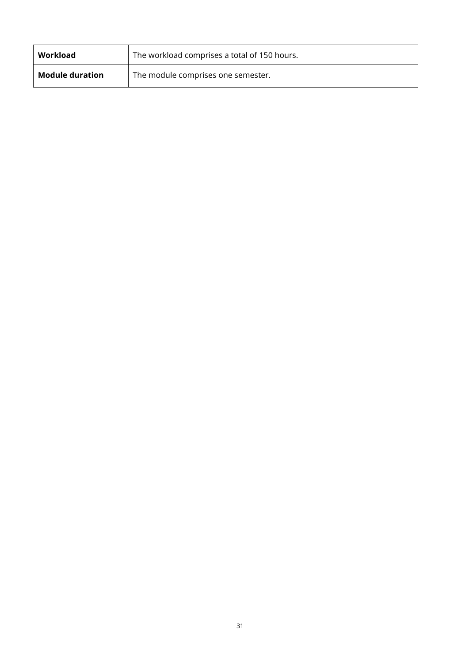| Workload               | The workload comprises a total of 150 hours. |
|------------------------|----------------------------------------------|
| <b>Module duration</b> | The module comprises one semester.           |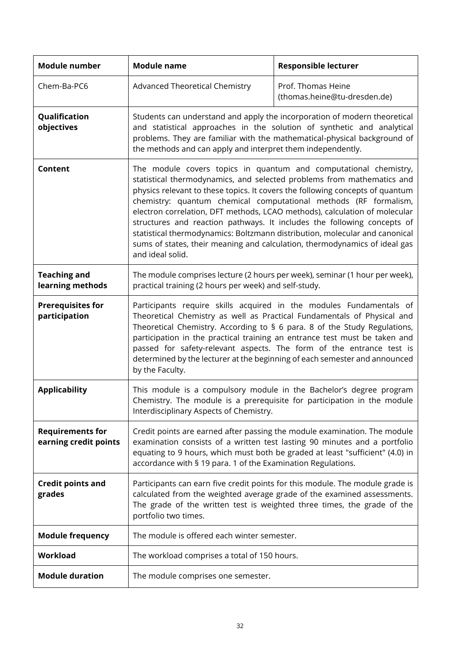| <b>Module number</b>                             | <b>Module name</b>                                                                                                                                                                                                                                                                                                                                                                                                                                                                                                                                                                                                                        | <b>Responsible lecturer</b>                                              |  |  |
|--------------------------------------------------|-------------------------------------------------------------------------------------------------------------------------------------------------------------------------------------------------------------------------------------------------------------------------------------------------------------------------------------------------------------------------------------------------------------------------------------------------------------------------------------------------------------------------------------------------------------------------------------------------------------------------------------------|--------------------------------------------------------------------------|--|--|
| Chem-Ba-PC6                                      | Advanced Theoretical Chemistry                                                                                                                                                                                                                                                                                                                                                                                                                                                                                                                                                                                                            | Prof. Thomas Heine<br>(thomas.heine@tu-dresden.de)                       |  |  |
| Qualification<br>objectives                      | Students can understand and apply the incorporation of modern theoretical<br>and statistical approaches in the solution of synthetic and analytical<br>the methods and can apply and interpret them independently.                                                                                                                                                                                                                                                                                                                                                                                                                        | problems. They are familiar with the mathematical-physical background of |  |  |
| Content                                          | The module covers topics in quantum and computational chemistry,<br>statistical thermodynamics, and selected problems from mathematics and<br>physics relevant to these topics. It covers the following concepts of quantum<br>chemistry: quantum chemical computational methods (RF formalism,<br>electron correlation, DFT methods, LCAO methods), calculation of molecular<br>structures and reaction pathways. It includes the following concepts of<br>statistical thermodynamics: Boltzmann distribution, molecular and canonical<br>sums of states, their meaning and calculation, thermodynamics of ideal gas<br>and ideal solid. |                                                                          |  |  |
| <b>Teaching and</b><br>learning methods          | The module comprises lecture (2 hours per week), seminar (1 hour per week),<br>practical training (2 hours per week) and self-study.                                                                                                                                                                                                                                                                                                                                                                                                                                                                                                      |                                                                          |  |  |
| <b>Prerequisites for</b><br>participation        | Participants require skills acquired in the modules Fundamentals of<br>Theoretical Chemistry as well as Practical Fundamentals of Physical and<br>Theoretical Chemistry. According to § 6 para. 8 of the Study Regulations,<br>participation in the practical training an entrance test must be taken and<br>passed for safety-relevant aspects. The form of the entrance test is<br>determined by the lecturer at the beginning of each semester and announced<br>by the Faculty.                                                                                                                                                        |                                                                          |  |  |
| <b>Applicability</b>                             | This module is a compulsory module in the Bachelor's degree program<br>Chemistry. The module is a prerequisite for participation in the module<br>Interdisciplinary Aspects of Chemistry.                                                                                                                                                                                                                                                                                                                                                                                                                                                 |                                                                          |  |  |
| <b>Requirements for</b><br>earning credit points | Credit points are earned after passing the module examination. The module<br>examination consists of a written test lasting 90 minutes and a portfolio<br>equating to 9 hours, which must both be graded at least "sufficient" (4.0) in<br>accordance with § 19 para. 1 of the Examination Regulations.                                                                                                                                                                                                                                                                                                                                   |                                                                          |  |  |
| <b>Credit points and</b><br>grades               | Participants can earn five credit points for this module. The module grade is<br>calculated from the weighted average grade of the examined assessments.<br>The grade of the written test is weighted three times, the grade of the<br>portfolio two times.                                                                                                                                                                                                                                                                                                                                                                               |                                                                          |  |  |
| <b>Module frequency</b>                          | The module is offered each winter semester.                                                                                                                                                                                                                                                                                                                                                                                                                                                                                                                                                                                               |                                                                          |  |  |
| <b>Workload</b>                                  | The workload comprises a total of 150 hours.                                                                                                                                                                                                                                                                                                                                                                                                                                                                                                                                                                                              |                                                                          |  |  |
| <b>Module duration</b>                           | The module comprises one semester.                                                                                                                                                                                                                                                                                                                                                                                                                                                                                                                                                                                                        |                                                                          |  |  |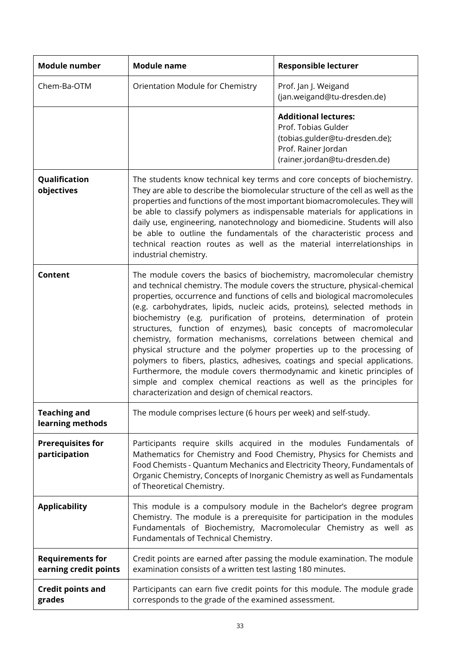| <b>Module number</b>                             | <b>Module name</b>                                                                                                                                                                                                                                                                                                                                                                                                                                                                                                                                                                                                                                                                                                                                                                                                                                                                                    | <b>Responsible lecturer</b>                                                                                                                                                                                                                                                                              |  |  |
|--------------------------------------------------|-------------------------------------------------------------------------------------------------------------------------------------------------------------------------------------------------------------------------------------------------------------------------------------------------------------------------------------------------------------------------------------------------------------------------------------------------------------------------------------------------------------------------------------------------------------------------------------------------------------------------------------------------------------------------------------------------------------------------------------------------------------------------------------------------------------------------------------------------------------------------------------------------------|----------------------------------------------------------------------------------------------------------------------------------------------------------------------------------------------------------------------------------------------------------------------------------------------------------|--|--|
| Chem-Ba-OTM                                      | Orientation Module for Chemistry                                                                                                                                                                                                                                                                                                                                                                                                                                                                                                                                                                                                                                                                                                                                                                                                                                                                      | Prof. Jan J. Weigand<br>(jan.weigand@tu-dresden.de)                                                                                                                                                                                                                                                      |  |  |
|                                                  |                                                                                                                                                                                                                                                                                                                                                                                                                                                                                                                                                                                                                                                                                                                                                                                                                                                                                                       | <b>Additional lectures:</b><br>Prof. Tobias Gulder<br>(tobias.gulder@tu-dresden.de);<br>Prof. Rainer Jordan<br>(rainer.jordan@tu-dresden.de)                                                                                                                                                             |  |  |
| Qualification<br>objectives                      | The students know technical key terms and core concepts of biochemistry.<br>They are able to describe the biomolecular structure of the cell as well as the<br>properties and functions of the most important biomacromolecules. They will<br>be able to classify polymers as indispensable materials for applications in<br>daily use, engineering, nanotechnology and biomedicine. Students will also<br>be able to outline the fundamentals of the characteristic process and<br>technical reaction routes as well as the material interrelationships in<br>industrial chemistry.                                                                                                                                                                                                                                                                                                                  |                                                                                                                                                                                                                                                                                                          |  |  |
| Content                                          | The module covers the basics of biochemistry, macromolecular chemistry<br>and technical chemistry. The module covers the structure, physical-chemical<br>properties, occurrence and functions of cells and biological macromolecules<br>(e.g. carbohydrates, lipids, nucleic acids, proteins), selected methods in<br>biochemistry (e.g. purification of proteins, determination of protein<br>structures, function of enzymes), basic concepts of macromolecular<br>chemistry, formation mechanisms, correlations between chemical and<br>physical structure and the polymer properties up to the processing of<br>polymers to fibers, plastics, adhesives, coatings and special applications.<br>Furthermore, the module covers thermodynamic and kinetic principles of<br>simple and complex chemical reactions as well as the principles for<br>characterization and design of chemical reactors. |                                                                                                                                                                                                                                                                                                          |  |  |
| <b>Teaching and</b><br>learning methods          | The module comprises lecture (6 hours per week) and self-study.                                                                                                                                                                                                                                                                                                                                                                                                                                                                                                                                                                                                                                                                                                                                                                                                                                       |                                                                                                                                                                                                                                                                                                          |  |  |
| <b>Prerequisites for</b><br>participation        | of Theoretical Chemistry.                                                                                                                                                                                                                                                                                                                                                                                                                                                                                                                                                                                                                                                                                                                                                                                                                                                                             | Participants require skills acquired in the modules Fundamentals of<br>Mathematics for Chemistry and Food Chemistry, Physics for Chemists and<br>Food Chemists - Quantum Mechanics and Electricity Theory, Fundamentals of<br>Organic Chemistry, Concepts of Inorganic Chemistry as well as Fundamentals |  |  |
| <b>Applicability</b>                             | Fundamentals of Technical Chemistry.                                                                                                                                                                                                                                                                                                                                                                                                                                                                                                                                                                                                                                                                                                                                                                                                                                                                  | This module is a compulsory module in the Bachelor's degree program<br>Chemistry. The module is a prerequisite for participation in the modules<br>Fundamentals of Biochemistry, Macromolecular Chemistry as well as                                                                                     |  |  |
| <b>Requirements for</b><br>earning credit points | examination consists of a written test lasting 180 minutes.                                                                                                                                                                                                                                                                                                                                                                                                                                                                                                                                                                                                                                                                                                                                                                                                                                           | Credit points are earned after passing the module examination. The module                                                                                                                                                                                                                                |  |  |
| <b>Credit points and</b><br>grades               | corresponds to the grade of the examined assessment.                                                                                                                                                                                                                                                                                                                                                                                                                                                                                                                                                                                                                                                                                                                                                                                                                                                  | Participants can earn five credit points for this module. The module grade                                                                                                                                                                                                                               |  |  |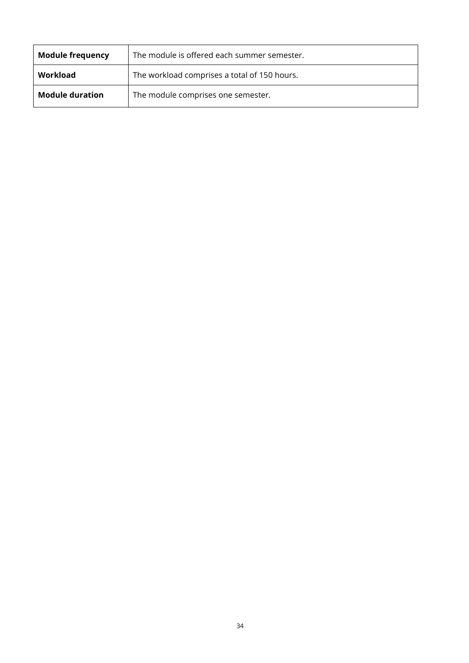| <b>Module frequency</b> | The module is offered each summer semester.  |  |
|-------------------------|----------------------------------------------|--|
| Workload                | The workload comprises a total of 150 hours. |  |
| <b>Module duration</b>  | The module comprises one semester.           |  |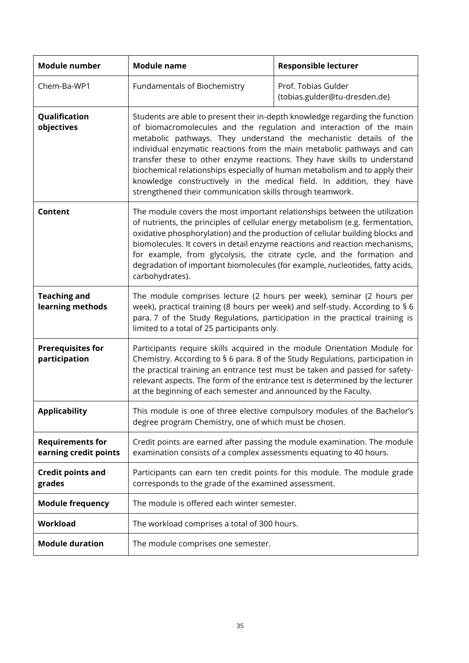| <b>Module number</b>                             | <b>Module name</b>                                                                                                                                                                                                                                                                                                                                                                                                                                                                                         | <b>Responsible lecturer</b>                                                                                                                                                                                                                                                                                                                                                                                                                                                                                                                                                                           |  |  |  |  |
|--------------------------------------------------|------------------------------------------------------------------------------------------------------------------------------------------------------------------------------------------------------------------------------------------------------------------------------------------------------------------------------------------------------------------------------------------------------------------------------------------------------------------------------------------------------------|-------------------------------------------------------------------------------------------------------------------------------------------------------------------------------------------------------------------------------------------------------------------------------------------------------------------------------------------------------------------------------------------------------------------------------------------------------------------------------------------------------------------------------------------------------------------------------------------------------|--|--|--|--|
| Chem-Ba-WP1                                      | Fundamentals of Biochemistry                                                                                                                                                                                                                                                                                                                                                                                                                                                                               | Prof. Tobias Gulder<br>(tobias.gulder@tu-dresden.de)                                                                                                                                                                                                                                                                                                                                                                                                                                                                                                                                                  |  |  |  |  |
| Qualification<br>objectives                      |                                                                                                                                                                                                                                                                                                                                                                                                                                                                                                            | Students are able to present their in-depth knowledge regarding the function<br>of biomacromolecules and the regulation and interaction of the main<br>metabolic pathways. They understand the mechanistic details of the<br>individual enzymatic reactions from the main metabolic pathways and can<br>transfer these to other enzyme reactions. They have skills to understand<br>biochemical relationships especially of human metabolism and to apply their<br>knowledge constructively in the medical field. In addition, they have<br>strengthened their communication skills through teamwork. |  |  |  |  |
| Content                                          | The module covers the most important relationships between the utilization<br>of nutrients, the principles of cellular energy metabolism (e.g. fermentation,<br>oxidative phosphorylation) and the production of cellular building blocks and<br>biomolecules. It covers in detail enzyme reactions and reaction mechanisms,<br>for example, from glycolysis, the citrate cycle, and the formation and<br>degradation of important biomolecules (for example, nucleotides, fatty acids,<br>carbohydrates). |                                                                                                                                                                                                                                                                                                                                                                                                                                                                                                                                                                                                       |  |  |  |  |
| <b>Teaching and</b><br>learning methods          | The module comprises lecture (2 hours per week), seminar (2 hours per<br>week), practical training (8 hours per week) and self-study. According to § 6<br>para. 7 of the Study Regulations, participation in the practical training is<br>limited to a total of 25 participants only.                                                                                                                                                                                                                      |                                                                                                                                                                                                                                                                                                                                                                                                                                                                                                                                                                                                       |  |  |  |  |
| <b>Prerequisites for</b><br>participation        | Participants require skills acquired in the module Orientation Module for<br>Chemistry. According to § 6 para. 8 of the Study Regulations, participation in<br>the practical training an entrance test must be taken and passed for safety-<br>relevant aspects. The form of the entrance test is determined by the lecturer<br>at the beginning of each semester and announced by the Faculty.                                                                                                            |                                                                                                                                                                                                                                                                                                                                                                                                                                                                                                                                                                                                       |  |  |  |  |
| <b>Applicability</b>                             | degree program Chemistry, one of which must be chosen.                                                                                                                                                                                                                                                                                                                                                                                                                                                     | This module is one of three elective compulsory modules of the Bachelor's                                                                                                                                                                                                                                                                                                                                                                                                                                                                                                                             |  |  |  |  |
| <b>Requirements for</b><br>earning credit points | examination consists of a complex assessments equating to 40 hours.                                                                                                                                                                                                                                                                                                                                                                                                                                        | Credit points are earned after passing the module examination. The module                                                                                                                                                                                                                                                                                                                                                                                                                                                                                                                             |  |  |  |  |
| <b>Credit points and</b><br>grades               | corresponds to the grade of the examined assessment.                                                                                                                                                                                                                                                                                                                                                                                                                                                       | Participants can earn ten credit points for this module. The module grade                                                                                                                                                                                                                                                                                                                                                                                                                                                                                                                             |  |  |  |  |
| <b>Module frequency</b>                          | The module is offered each winter semester.                                                                                                                                                                                                                                                                                                                                                                                                                                                                |                                                                                                                                                                                                                                                                                                                                                                                                                                                                                                                                                                                                       |  |  |  |  |
| <b>Workload</b>                                  | The workload comprises a total of 300 hours.                                                                                                                                                                                                                                                                                                                                                                                                                                                               |                                                                                                                                                                                                                                                                                                                                                                                                                                                                                                                                                                                                       |  |  |  |  |
| <b>Module duration</b>                           | The module comprises one semester.                                                                                                                                                                                                                                                                                                                                                                                                                                                                         |                                                                                                                                                                                                                                                                                                                                                                                                                                                                                                                                                                                                       |  |  |  |  |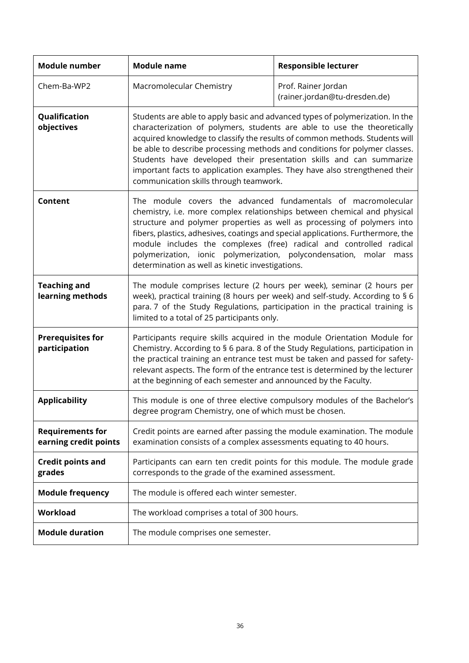| <b>Module number</b>                             | <b>Module name</b>                                                                                                                                                                                                                                                                                                                                                                                                                                                                                                    | <b>Responsible lecturer</b>                                               |  |  |  |
|--------------------------------------------------|-----------------------------------------------------------------------------------------------------------------------------------------------------------------------------------------------------------------------------------------------------------------------------------------------------------------------------------------------------------------------------------------------------------------------------------------------------------------------------------------------------------------------|---------------------------------------------------------------------------|--|--|--|
| Chem-Ba-WP2                                      | Macromolecular Chemistry                                                                                                                                                                                                                                                                                                                                                                                                                                                                                              | Prof. Rainer Jordan<br>(rainer.jordan@tu-dresden.de)                      |  |  |  |
| Qualification<br>objectives                      | Students are able to apply basic and advanced types of polymerization. In the<br>characterization of polymers, students are able to use the theoretically<br>acquired knowledge to classify the results of common methods. Students will<br>be able to describe processing methods and conditions for polymer classes.<br>Students have developed their presentation skills and can summarize<br>important facts to application examples. They have also strengthened their<br>communication skills through teamwork. |                                                                           |  |  |  |
| Content                                          | The module covers the advanced fundamentals of macromolecular<br>chemistry, i.e. more complex relationships between chemical and physical<br>structure and polymer properties as well as processing of polymers into<br>fibers, plastics, adhesives, coatings and special applications. Furthermore, the<br>module includes the complexes (free) radical and controlled radical<br>polymerization, ionic polymerization, polycondensation,<br>molar<br>mass<br>determination as well as kinetic investigations.       |                                                                           |  |  |  |
| <b>Teaching and</b><br>learning methods          | The module comprises lecture (2 hours per week), seminar (2 hours per<br>week), practical training (8 hours per week) and self-study. According to § 6<br>para. 7 of the Study Regulations, participation in the practical training is<br>limited to a total of 25 participants only.                                                                                                                                                                                                                                 |                                                                           |  |  |  |
| <b>Prerequisites for</b><br>participation        | Participants require skills acquired in the module Orientation Module for<br>Chemistry. According to § 6 para. 8 of the Study Regulations, participation in<br>the practical training an entrance test must be taken and passed for safety-<br>relevant aspects. The form of the entrance test is determined by the lecturer<br>at the beginning of each semester and announced by the Faculty.                                                                                                                       |                                                                           |  |  |  |
| <b>Applicability</b>                             | degree program Chemistry, one of which must be chosen.                                                                                                                                                                                                                                                                                                                                                                                                                                                                | This module is one of three elective compulsory modules of the Bachelor's |  |  |  |
| <b>Requirements for</b><br>earning credit points | examination consists of a complex assessments equating to 40 hours.                                                                                                                                                                                                                                                                                                                                                                                                                                                   | Credit points are earned after passing the module examination. The module |  |  |  |
| <b>Credit points and</b><br>grades               | corresponds to the grade of the examined assessment.                                                                                                                                                                                                                                                                                                                                                                                                                                                                  | Participants can earn ten credit points for this module. The module grade |  |  |  |
| <b>Module frequency</b>                          | The module is offered each winter semester.                                                                                                                                                                                                                                                                                                                                                                                                                                                                           |                                                                           |  |  |  |
| <b>Workload</b>                                  | The workload comprises a total of 300 hours.                                                                                                                                                                                                                                                                                                                                                                                                                                                                          |                                                                           |  |  |  |
| <b>Module duration</b>                           | The module comprises one semester.                                                                                                                                                                                                                                                                                                                                                                                                                                                                                    |                                                                           |  |  |  |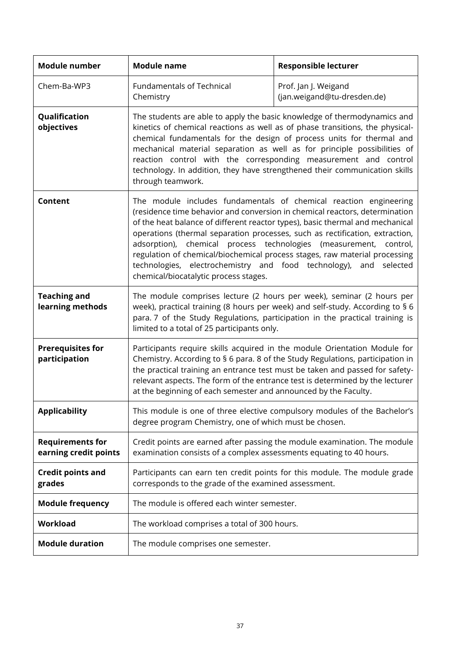| <b>Module number</b>                             | <b>Module name</b>                                                                                                                                                                                                                                                                                                                                                                                                                                                                                                                                                                       | <b>Responsible lecturer</b>                                                                                                                                                                                                                                                                                                                                                                                                                                     |  |  |  |  |
|--------------------------------------------------|------------------------------------------------------------------------------------------------------------------------------------------------------------------------------------------------------------------------------------------------------------------------------------------------------------------------------------------------------------------------------------------------------------------------------------------------------------------------------------------------------------------------------------------------------------------------------------------|-----------------------------------------------------------------------------------------------------------------------------------------------------------------------------------------------------------------------------------------------------------------------------------------------------------------------------------------------------------------------------------------------------------------------------------------------------------------|--|--|--|--|
| Chem-Ba-WP3                                      | <b>Fundamentals of Technical</b><br>Chemistry                                                                                                                                                                                                                                                                                                                                                                                                                                                                                                                                            | Prof. Jan J. Weigand<br>(jan.weigand@tu-dresden.de)                                                                                                                                                                                                                                                                                                                                                                                                             |  |  |  |  |
| Qualification<br>objectives                      | through teamwork.                                                                                                                                                                                                                                                                                                                                                                                                                                                                                                                                                                        | The students are able to apply the basic knowledge of thermodynamics and<br>kinetics of chemical reactions as well as of phase transitions, the physical-<br>chemical fundamentals for the design of process units for thermal and<br>mechanical material separation as well as for principle possibilities of<br>reaction control with the corresponding measurement and control<br>technology. In addition, they have strengthened their communication skills |  |  |  |  |
| Content                                          | The module includes fundamentals of chemical reaction engineering<br>(residence time behavior and conversion in chemical reactors, determination<br>of the heat balance of different reactor types), basic thermal and mechanical<br>operations (thermal separation processes, such as rectification, extraction,<br>adsorption), chemical process technologies<br>(measurement,<br>control,<br>regulation of chemical/biochemical process stages, raw material processing<br>technologies, electrochemistry and food technology), and selected<br>chemical/biocatalytic process stages. |                                                                                                                                                                                                                                                                                                                                                                                                                                                                 |  |  |  |  |
| <b>Teaching and</b><br>learning methods          | The module comprises lecture (2 hours per week), seminar (2 hours per<br>week), practical training (8 hours per week) and self-study. According to § 6<br>para. 7 of the Study Regulations, participation in the practical training is<br>limited to a total of 25 participants only.                                                                                                                                                                                                                                                                                                    |                                                                                                                                                                                                                                                                                                                                                                                                                                                                 |  |  |  |  |
| <b>Prerequisites for</b><br>participation        | Participants require skills acquired in the module Orientation Module for<br>Chemistry. According to § 6 para. 8 of the Study Regulations, participation in<br>the practical training an entrance test must be taken and passed for safety-<br>relevant aspects. The form of the entrance test is determined by the lecturer<br>at the beginning of each semester and announced by the Faculty.                                                                                                                                                                                          |                                                                                                                                                                                                                                                                                                                                                                                                                                                                 |  |  |  |  |
| <b>Applicability</b>                             | This module is one of three elective compulsory modules of the Bachelor's<br>degree program Chemistry, one of which must be chosen.                                                                                                                                                                                                                                                                                                                                                                                                                                                      |                                                                                                                                                                                                                                                                                                                                                                                                                                                                 |  |  |  |  |
| <b>Requirements for</b><br>earning credit points | Credit points are earned after passing the module examination. The module<br>examination consists of a complex assessments equating to 40 hours.                                                                                                                                                                                                                                                                                                                                                                                                                                         |                                                                                                                                                                                                                                                                                                                                                                                                                                                                 |  |  |  |  |
| <b>Credit points and</b><br>grades               | corresponds to the grade of the examined assessment.                                                                                                                                                                                                                                                                                                                                                                                                                                                                                                                                     | Participants can earn ten credit points for this module. The module grade                                                                                                                                                                                                                                                                                                                                                                                       |  |  |  |  |
| <b>Module frequency</b>                          | The module is offered each winter semester.                                                                                                                                                                                                                                                                                                                                                                                                                                                                                                                                              |                                                                                                                                                                                                                                                                                                                                                                                                                                                                 |  |  |  |  |
| Workload                                         | The workload comprises a total of 300 hours.                                                                                                                                                                                                                                                                                                                                                                                                                                                                                                                                             |                                                                                                                                                                                                                                                                                                                                                                                                                                                                 |  |  |  |  |
| <b>Module duration</b>                           | The module comprises one semester.                                                                                                                                                                                                                                                                                                                                                                                                                                                                                                                                                       |                                                                                                                                                                                                                                                                                                                                                                                                                                                                 |  |  |  |  |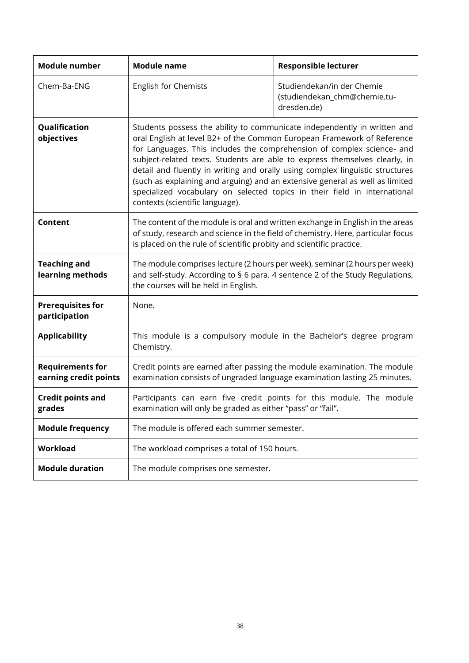| Module number                                    | <b>Module name</b>                                                                                                                                                                                                                                                                                                                                                                                                                                                                                                                                                                           | <b>Responsible lecturer</b>                                                                                                                            |  |  |
|--------------------------------------------------|----------------------------------------------------------------------------------------------------------------------------------------------------------------------------------------------------------------------------------------------------------------------------------------------------------------------------------------------------------------------------------------------------------------------------------------------------------------------------------------------------------------------------------------------------------------------------------------------|--------------------------------------------------------------------------------------------------------------------------------------------------------|--|--|
| Chem-Ba-ENG                                      | English for Chemists                                                                                                                                                                                                                                                                                                                                                                                                                                                                                                                                                                         | Studiendekan/in der Chemie<br>(studiendekan_chm@chemie.tu-<br>dresden.de)                                                                              |  |  |
| Qualification<br>objectives                      | Students possess the ability to communicate independently in written and<br>oral English at level B2+ of the Common European Framework of Reference<br>for Languages. This includes the comprehension of complex science- and<br>subject-related texts. Students are able to express themselves clearly, in<br>detail and fluently in writing and orally using complex linguistic structures<br>(such as explaining and arguing) and an extensive general as well as limited<br>specialized vocabulary on selected topics in their field in international<br>contexts (scientific language). |                                                                                                                                                        |  |  |
| Content                                          | The content of the module is oral and written exchange in English in the areas<br>of study, research and science in the field of chemistry. Here, particular focus<br>is placed on the rule of scientific probity and scientific practice.                                                                                                                                                                                                                                                                                                                                                   |                                                                                                                                                        |  |  |
| <b>Teaching and</b><br>learning methods          | The module comprises lecture (2 hours per week), seminar (2 hours per week)<br>and self-study. According to § 6 para. 4 sentence 2 of the Study Regulations,<br>the courses will be held in English.                                                                                                                                                                                                                                                                                                                                                                                         |                                                                                                                                                        |  |  |
| <b>Prerequisites for</b><br>participation        | None.                                                                                                                                                                                                                                                                                                                                                                                                                                                                                                                                                                                        |                                                                                                                                                        |  |  |
| <b>Applicability</b>                             | This module is a compulsory module in the Bachelor's degree program<br>Chemistry.                                                                                                                                                                                                                                                                                                                                                                                                                                                                                                            |                                                                                                                                                        |  |  |
| <b>Requirements for</b><br>earning credit points |                                                                                                                                                                                                                                                                                                                                                                                                                                                                                                                                                                                              | Credit points are earned after passing the module examination. The module<br>examination consists of ungraded language examination lasting 25 minutes. |  |  |
| <b>Credit points and</b><br>grades               | examination will only be graded as either "pass" or "fail".                                                                                                                                                                                                                                                                                                                                                                                                                                                                                                                                  | Participants can earn five credit points for this module. The module                                                                                   |  |  |
| <b>Module frequency</b>                          | The module is offered each summer semester.                                                                                                                                                                                                                                                                                                                                                                                                                                                                                                                                                  |                                                                                                                                                        |  |  |
| Workload                                         | The workload comprises a total of 150 hours.                                                                                                                                                                                                                                                                                                                                                                                                                                                                                                                                                 |                                                                                                                                                        |  |  |
| <b>Module duration</b>                           | The module comprises one semester.                                                                                                                                                                                                                                                                                                                                                                                                                                                                                                                                                           |                                                                                                                                                        |  |  |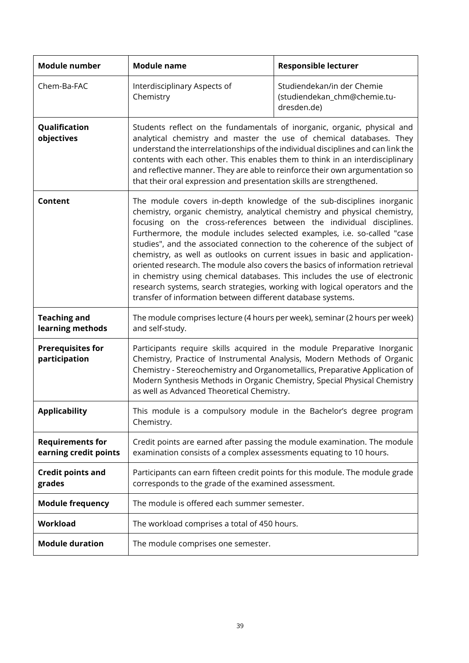| <b>Module number</b>                             | <b>Module name</b>                                                                                                                                                                                                                                                                                                                                                                                                                                                                                                                                                                                                                                                                                                                                                               | <b>Responsible lecturer</b>                                                                                                                                                                                                                                                                                             |  |  |
|--------------------------------------------------|----------------------------------------------------------------------------------------------------------------------------------------------------------------------------------------------------------------------------------------------------------------------------------------------------------------------------------------------------------------------------------------------------------------------------------------------------------------------------------------------------------------------------------------------------------------------------------------------------------------------------------------------------------------------------------------------------------------------------------------------------------------------------------|-------------------------------------------------------------------------------------------------------------------------------------------------------------------------------------------------------------------------------------------------------------------------------------------------------------------------|--|--|
| Chem-Ba-FAC                                      | Interdisciplinary Aspects of<br>Chemistry                                                                                                                                                                                                                                                                                                                                                                                                                                                                                                                                                                                                                                                                                                                                        | Studiendekan/in der Chemie<br>(studiendekan_chm@chemie.tu-<br>dresden.de)                                                                                                                                                                                                                                               |  |  |
| Qualification<br>objectives                      | Students reflect on the fundamentals of inorganic, organic, physical and<br>that their oral expression and presentation skills are strengthened.                                                                                                                                                                                                                                                                                                                                                                                                                                                                                                                                                                                                                                 | analytical chemistry and master the use of chemical databases. They<br>understand the interrelationships of the individual disciplines and can link the<br>contents with each other. This enables them to think in an interdisciplinary<br>and reflective manner. They are able to reinforce their own argumentation so |  |  |
| Content                                          | The module covers in-depth knowledge of the sub-disciplines inorganic<br>chemistry, organic chemistry, analytical chemistry and physical chemistry,<br>focusing on the cross-references between the individual disciplines.<br>Furthermore, the module includes selected examples, i.e. so-called "case<br>studies", and the associated connection to the coherence of the subject of<br>chemistry, as well as outlooks on current issues in basic and application-<br>oriented research. The module also covers the basics of information retrieval<br>in chemistry using chemical databases. This includes the use of electronic<br>research systems, search strategies, working with logical operators and the<br>transfer of information between different database systems. |                                                                                                                                                                                                                                                                                                                         |  |  |
| <b>Teaching and</b><br>learning methods          | The module comprises lecture (4 hours per week), seminar (2 hours per week)<br>and self-study.                                                                                                                                                                                                                                                                                                                                                                                                                                                                                                                                                                                                                                                                                   |                                                                                                                                                                                                                                                                                                                         |  |  |
| <b>Prerequisites for</b><br>participation        | Participants require skills acquired in the module Preparative Inorganic<br>Chemistry, Practice of Instrumental Analysis, Modern Methods of Organic<br>Chemistry - Stereochemistry and Organometallics, Preparative Application of<br>Modern Synthesis Methods in Organic Chemistry, Special Physical Chemistry<br>as well as Advanced Theoretical Chemistry.                                                                                                                                                                                                                                                                                                                                                                                                                    |                                                                                                                                                                                                                                                                                                                         |  |  |
| <b>Applicability</b>                             | Chemistry.                                                                                                                                                                                                                                                                                                                                                                                                                                                                                                                                                                                                                                                                                                                                                                       | This module is a compulsory module in the Bachelor's degree program                                                                                                                                                                                                                                                     |  |  |
| <b>Requirements for</b><br>earning credit points | examination consists of a complex assessments equating to 10 hours.                                                                                                                                                                                                                                                                                                                                                                                                                                                                                                                                                                                                                                                                                                              | Credit points are earned after passing the module examination. The module                                                                                                                                                                                                                                               |  |  |
| <b>Credit points and</b><br>grades               | corresponds to the grade of the examined assessment.                                                                                                                                                                                                                                                                                                                                                                                                                                                                                                                                                                                                                                                                                                                             | Participants can earn fifteen credit points for this module. The module grade                                                                                                                                                                                                                                           |  |  |
| <b>Module frequency</b>                          | The module is offered each summer semester.                                                                                                                                                                                                                                                                                                                                                                                                                                                                                                                                                                                                                                                                                                                                      |                                                                                                                                                                                                                                                                                                                         |  |  |
| <b>Workload</b>                                  | The workload comprises a total of 450 hours.                                                                                                                                                                                                                                                                                                                                                                                                                                                                                                                                                                                                                                                                                                                                     |                                                                                                                                                                                                                                                                                                                         |  |  |
| <b>Module duration</b>                           | The module comprises one semester.                                                                                                                                                                                                                                                                                                                                                                                                                                                                                                                                                                                                                                                                                                                                               |                                                                                                                                                                                                                                                                                                                         |  |  |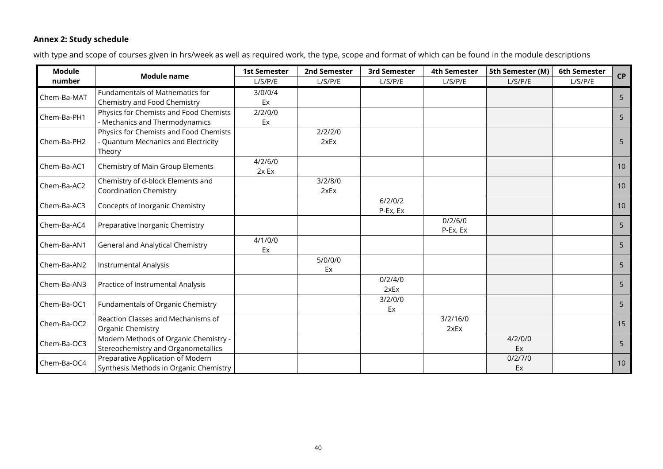## **Annex 2: Study schedule**

with type and scope of courses given in hrs/week as well as required work, the type, scope and format of which can be found in the module descriptions

<span id="page-39-0"></span>

| <b>Module</b> |                                        | <b>1st Semester</b> | 2nd Semester | 3rd Semester | 4th Semester | 5th Semester (M) | 6th Semester | <b>CP</b>       |
|---------------|----------------------------------------|---------------------|--------------|--------------|--------------|------------------|--------------|-----------------|
| number        | <b>Module name</b>                     | L/S/ P/E            | L/S/ P/E     | L/S/ P/E     | L/S/ P/E     | L/S/P/E          | L/S/P/E      |                 |
|               | Fundamentals of Mathematics for        | 3/0/0/4             |              |              |              |                  |              |                 |
| Chem-Ba-MAT   | Chemistry and Food Chemistry           | Ex                  |              |              |              |                  |              | 5               |
| Chem-Ba-PH1   | Physics for Chemists and Food Chemists | 2/2/0/0             |              |              |              |                  |              | 5               |
|               | - Mechanics and Thermodynamics         | Ex                  |              |              |              |                  |              |                 |
|               | Physics for Chemists and Food Chemists |                     | 2/2/2/0      |              |              |                  |              |                 |
| Chem-Ba-PH2   | - Quantum Mechanics and Electricity    |                     | 2xEx         |              |              |                  |              | 5               |
|               | Theory                                 |                     |              |              |              |                  |              |                 |
| Chem-Ba-AC1   | Chemistry of Main Group Elements       | 4/2/6/0             |              |              |              |                  |              | 10 <sup>°</sup> |
|               |                                        | 2x Ex               |              |              |              |                  |              |                 |
| Chem-Ba-AC2   | Chemistry of d-block Elements and      |                     | 3/2/8/0      |              |              |                  |              | 10 <sup>°</sup> |
|               | <b>Coordination Chemistry</b>          |                     | 2xEx         | 6/2/0/2      |              |                  |              |                 |
| Chem-Ba-AC3   | Concepts of Inorganic Chemistry        |                     |              | P-Ex, Ex     |              |                  |              | 10 <sup>°</sup> |
|               |                                        |                     |              |              | 0/2/6/0      |                  |              |                 |
| Chem-Ba-AC4   | Preparative Inorganic Chemistry        |                     |              |              | P-Ex, Ex     |                  |              | 5               |
|               |                                        | 4/1/0/0             |              |              |              |                  |              |                 |
| Chem-Ba-AN1   | General and Analytical Chemistry       | Ex                  |              |              |              |                  |              | 5               |
|               |                                        |                     | 5/0/0/0      |              |              |                  |              |                 |
| Chem-Ba-AN2   | <b>Instrumental Analysis</b>           |                     | Ex           |              |              |                  |              | 5               |
| Chem-Ba-AN3   | Practice of Instrumental Analysis      |                     |              | 0/2/4/0      |              |                  |              | 5               |
|               |                                        |                     |              | 2xEx         |              |                  |              |                 |
| Chem-Ba-OC1   | Fundamentals of Organic Chemistry      |                     |              | 3/2/0/0      |              |                  |              | 5               |
|               |                                        |                     |              | Ex           |              |                  |              |                 |
| Chem-Ba-OC2   | Reaction Classes and Mechanisms of     |                     |              |              | 3/2/16/0     |                  |              | 15              |
|               | Organic Chemistry                      |                     |              |              | 2xEx         |                  |              |                 |
| Chem-Ba-OC3   | Modern Methods of Organic Chemistry -  |                     |              |              |              | 4/2/0/0          |              | 5               |
|               | Stereochemistry and Organometallics    |                     |              |              |              | Ex               |              |                 |
| Chem-Ba-OC4   | Preparative Application of Modern      |                     |              |              |              | 0/2/7/0          |              | 10 <sup>°</sup> |
|               | Synthesis Methods in Organic Chemistry |                     |              |              |              | Ex               |              |                 |